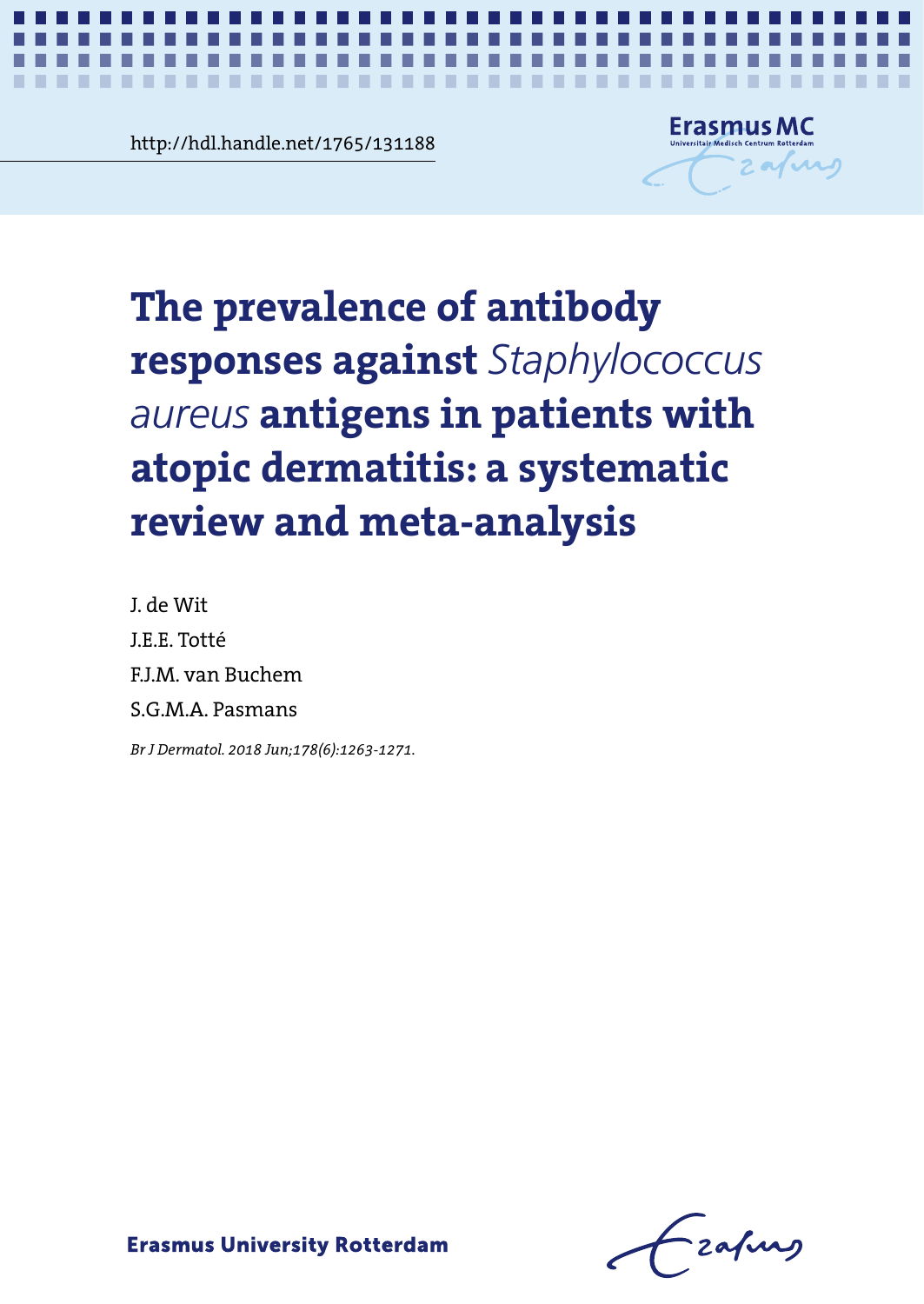mai.nandie.net/1/65/131188<br> **Chapter 6**<br> **Contract 6** http://hdl.handle.net/1765/131188

-----



*Systematic review on anti-staphylococcal antibodies in atopic dermatitis* **1**

# **The prevalence of antibody** against *Staphylococcus aureus* possos against stapiljecte dermatitische reviewender meta-analysis **atopic dermatitis: a systematic responses against** *Staphylococcus aureus* **antigens in patients with review and meta-analysis**

J. de Wit J.E.E. Totté F.J.M. van Buchem S.G.M.A. Pasmans

*Br J Dermatol. 2018 Jun;178(6):1263-1271.*

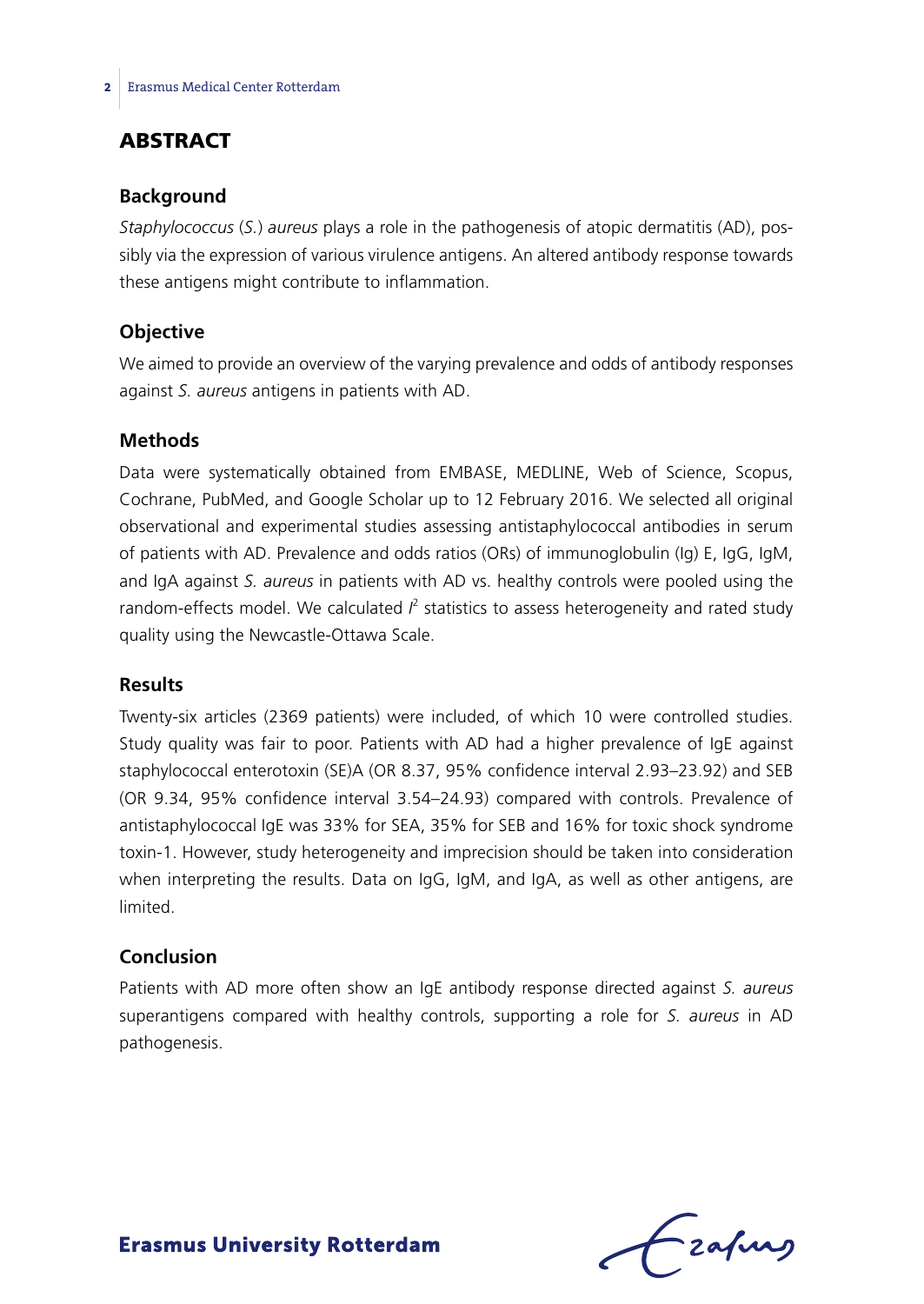# **ABSTRACT**

#### **Background**

*Staphylococcus* (*S.*) *aureus* plays a role in the pathogenesis of atopic dermatitis (AD), possibly via the expression of various virulence antigens. An altered antibody response towards these antigens might contribute to inflammation.

#### **Objective**

We aimed to provide an overview of the varying prevalence and odds of antibody responses against *S. aureus* antigens in patients with AD.

#### **Methods**

Data were systematically obtained from EMBASE, MEDLINE, Web of Science, Scopus, Cochrane, PubMed, and Google Scholar up to 12 February 2016. We selected all original observational and experimental studies assessing antistaphylococcal antibodies in serum of patients with AD. Prevalence and odds ratios (ORs) of immunoglobulin (Ig) E, IgG, IgM, and IgA against *S. aureus* in patients with AD vs. healthy controls were pooled using the random-effects model. We calculated  $l^2$  statistics to assess heterogeneity and rated study quality using the Newcastle-Ottawa Scale.

#### **Results**

Twenty-six articles (2369 patients) were included, of which 10 were controlled studies. Study quality was fair to poor. Patients with AD had a higher prevalence of IgE against staphylococcal enterotoxin (SE)A (OR 8.37, 95% confidence interval 2.93–23.92) and SEB (OR 9.34, 95% confidence interval 3.54–24.93) compared with controls. Prevalence of antistaphylococcal IgE was 33% for SEA, 35% for SEB and 16% for toxic shock syndrome toxin-1. However, study heterogeneity and imprecision should be taken into consideration when interpreting the results. Data on IgG, IgM, and IgA, as well as other antigens, are limited.

# **Conclusion**

Patients with AD more often show an IgE antibody response directed against *S. aureus*  superantigens compared with healthy controls, supporting a role for *S. aureus* in AD pathogenesis.

Lzafurg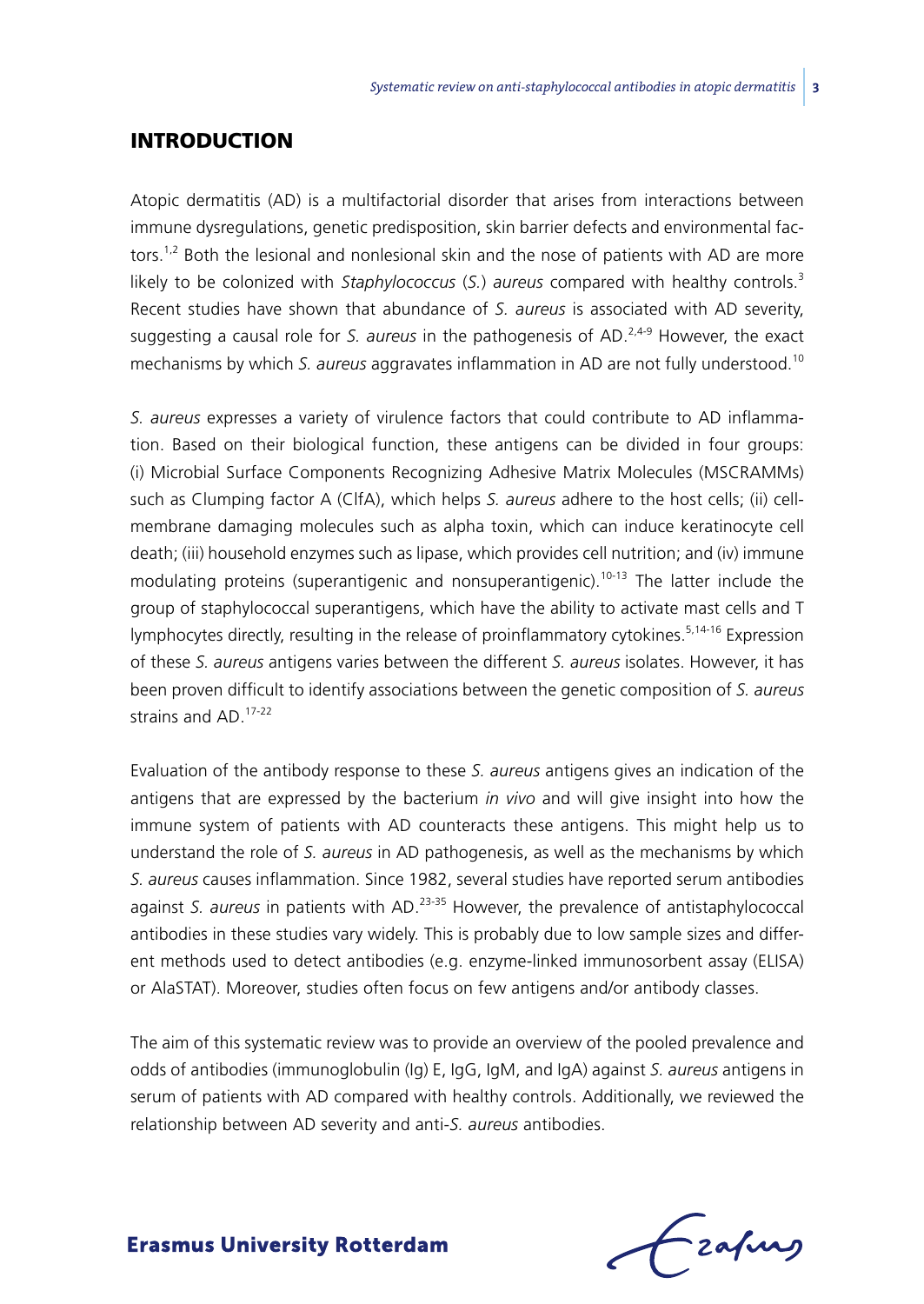# **INTRODUCTION**

Atopic dermatitis (AD) is a multifactorial disorder that arises from interactions between immune dysregulations, genetic predisposition, skin barrier defects and environmental factors.<sup>1,2</sup> Both the lesional and nonlesional skin and the nose of patients with AD are more likely to be colonized with *Staphylococcus* (*S.*) *aureus* compared with healthy controls.<sup>3</sup> Recent studies have shown that abundance of *S. aureus* is associated with AD severity, suggesting a causal role for *S. aureus* in the pathogenesis of AD.2,4-9 However, the exact mechanisms by which *S. aureus* aggravates inflammation in AD are not fully understood.<sup>10</sup>

*S. aureus* expresses a variety of virulence factors that could contribute to AD inflammation. Based on their biological function, these antigens can be divided in four groups: (i) Microbial Surface Components Recognizing Adhesive Matrix Molecules (MSCRAMMs) such as Clumping factor A (ClfA), which helps *S. aureus* adhere to the host cells; (ii) cellmembrane damaging molecules such as alpha toxin, which can induce keratinocyte cell death; (iii) household enzymes such as lipase, which provides cell nutrition; and (iv) immune modulating proteins (superantigenic and nonsuperantigenic).<sup>10-13</sup> The latter include the group of staphylococcal superantigens, which have the ability to activate mast cells and T lymphocytes directly, resulting in the release of proinflammatory cytokines.5,14-16 Expression of these *S. aureus* antigens varies between the different *S. aureus* isolates. However, it has been proven difficult to identify associations between the genetic composition of *S. aureus*  strains and AD.17-22

Evaluation of the antibody response to these *S. aureus* antigens gives an indication of the antigens that are expressed by the bacterium *in vivo* and will give insight into how the immune system of patients with AD counteracts these antigens. This might help us to understand the role of *S. aureus* in AD pathogenesis, as well as the mechanisms by which *S. aureus* causes inflammation. Since 1982, several studies have reported serum antibodies against *S. aureus* in patients with AD.23-35 However, the prevalence of antistaphylococcal antibodies in these studies vary widely. This is probably due to low sample sizes and different methods used to detect antibodies (e.g. enzyme-linked immunosorbent assay (ELISA) or AlaSTAT). Moreover, studies often focus on few antigens and/or antibody classes.

The aim of this systematic review was to provide an overview of the pooled prevalence and odds of antibodies (immunoglobulin (Ig) E, IgG, IgM, and IgA) against *S. aureus* antigens in serum of patients with AD compared with healthy controls. Additionally, we reviewed the relationship between AD severity and anti-*S. aureus* antibodies.

frafing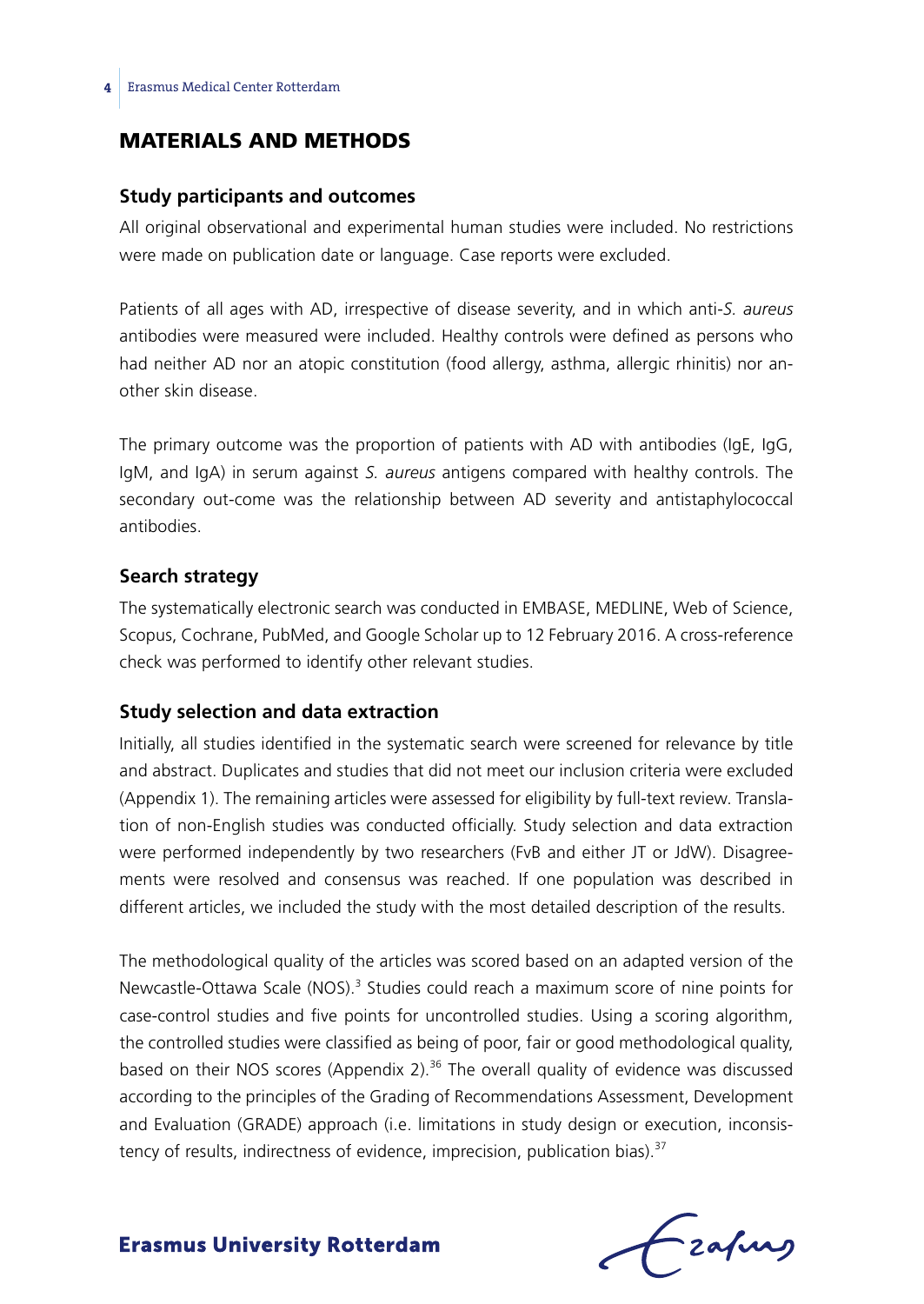# Materials and methods

#### **Study participants and outcomes**

All original observational and experimental human studies were included. No restrictions were made on publication date or language. Case reports were excluded.

Patients of all ages with AD, irrespective of disease severity, and in which anti-*S. aureus*  antibodies were measured were included. Healthy controls were defined as persons who had neither AD nor an atopic constitution (food allergy, asthma, allergic rhinitis) nor another skin disease.

The primary outcome was the proportion of patients with AD with antibodies (IgE, IgG, IgM, and IgA) in serum against *S. aureus* antigens compared with healthy controls. The secondary out-come was the relationship between AD severity and antistaphylococcal antibodies.

#### **Search strategy**

The systematically electronic search was conducted in EMBASE, MEDLINE, Web of Science, Scopus, Cochrane, PubMed, and Google Scholar up to 12 February 2016. A cross-reference check was performed to identify other relevant studies.

#### **Study selection and data extraction**

Initially, all studies identified in the systematic search were screened for relevance by title and abstract. Duplicates and studies that did not meet our inclusion criteria were excluded (Appendix 1). The remaining articles were assessed for eligibility by full-text review. Translation of non-English studies was conducted officially. Study selection and data extraction were performed independently by two researchers (FvB and either JT or JdW). Disagreements were resolved and consensus was reached. If one population was described in different articles, we included the study with the most detailed description of the results.

The methodological quality of the articles was scored based on an adapted version of the Newcastle-Ottawa Scale (NOS).<sup>3</sup> Studies could reach a maximum score of nine points for case-control studies and five points for uncontrolled studies. Using a scoring algorithm, the controlled studies were classified as being of poor, fair or good methodological quality, based on their NOS scores (Appendix 2).<sup>36</sup> The overall quality of evidence was discussed according to the principles of the Grading of Recommendations Assessment, Development and Evaluation (GRADE) approach (i.e. limitations in study design or execution, inconsistency of results, indirectness of evidence, imprecision, publication bias).<sup>37</sup>

frafing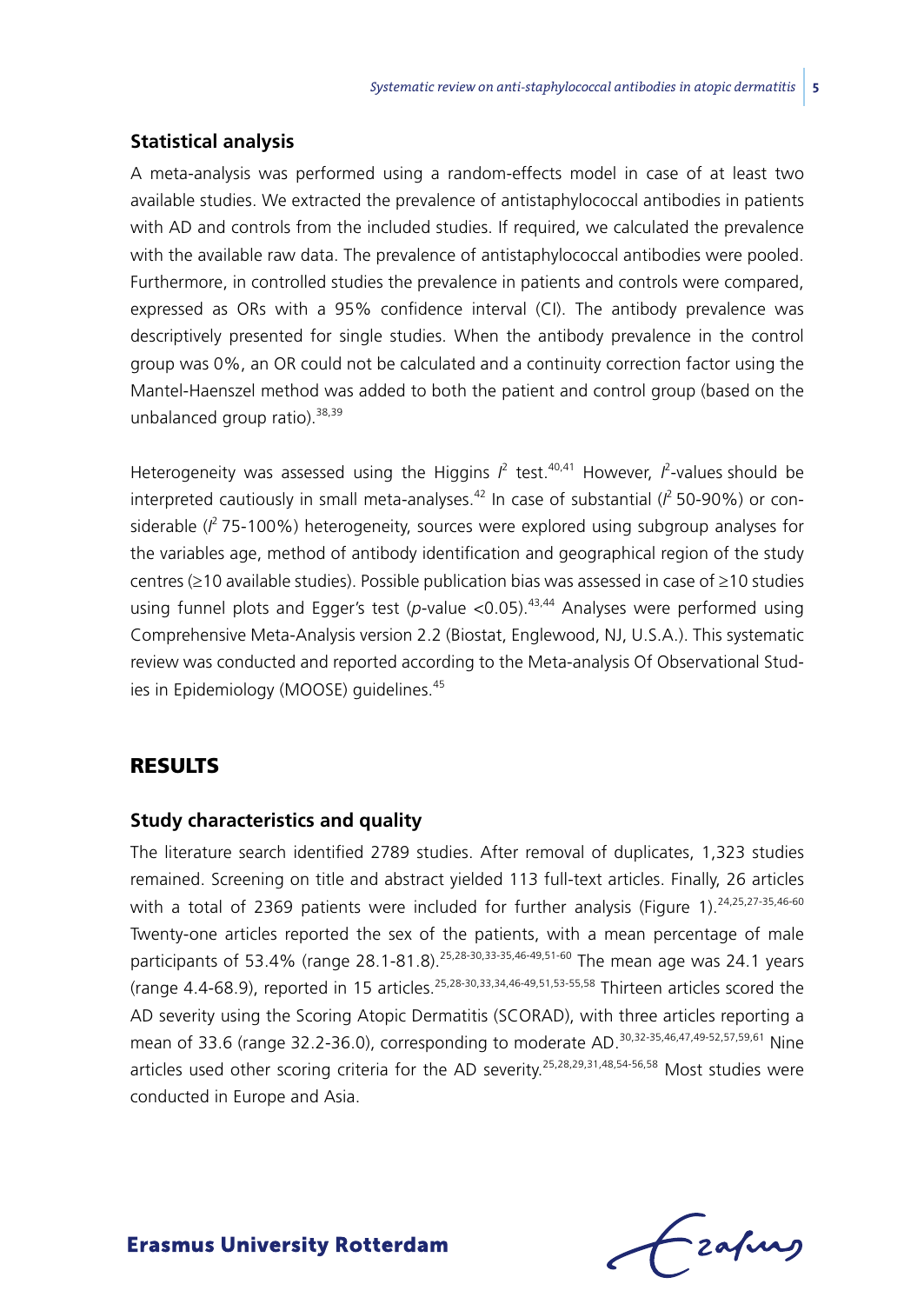#### **Statistical analysis**

A meta-analysis was performed using a random-effects model in case of at least two available studies. We extracted the prevalence of antistaphylococcal antibodies in patients with AD and controls from the included studies. If required, we calculated the prevalence with the available raw data. The prevalence of antistaphylococcal antibodies were pooled. Furthermore, in controlled studies the prevalence in patients and controls were compared, expressed as ORs with a 95% confidence interval (CI). The antibody prevalence was descriptively presented for single studies. When the antibody prevalence in the control group was 0%, an OR could not be calculated and a continuity correction factor using the Mantel-Haenszel method was added to both the patient and control group (based on the unbalanced group ratio).<sup>38,39</sup>

Heterogeneity was assessed using the Higgins  $I^2$  test.<sup>40,41</sup> However,  $I^2$ -values should be interpreted cautiously in small meta-analyses.<sup>42</sup> In case of substantial ( $l^2$  50-90%) or considerable (*I* 2 75-100%) heterogeneity, sources were explored using subgroup analyses for the variables age, method of antibody identification and geographical region of the study centres (≥10 available studies). Possible publication bias was assessed in case of ≥10 studies using funnel plots and Egger's test (p-value <0.05).<sup>43,44</sup> Analyses were performed using Comprehensive Meta-Analysis version 2.2 (Biostat, Englewood, NJ, U.S.A.). This systematic review was conducted and reported according to the Meta-analysis Of Observational Studies in Epidemiology (MOOSE) guidelines.<sup>45</sup>

# **RESULTS**

# **Study characteristics and quality**

The literature search identified 2789 studies. After removal of duplicates, 1,323 studies remained. Screening on title and abstract yielded 113 full-text articles. Finally, 26 articles with a total of 2369 patients were included for further analysis (Figure 1).<sup>24,25,27-35,46-60</sup> Twenty-one articles reported the sex of the patients, with a mean percentage of male participants of 53.4% (range 28.1-81.8).<sup>25,28-30,33-35,46-49,51-60</sup> The mean age was 24.1 years (range 4.4-68.9), reported in 15 articles.25,28-30,33,34,46-49,51,53-55,58 Thirteen articles scored the AD severity using the Scoring Atopic Dermatitis (SCORAD), with three articles reporting a mean of 33.6 (range 32.2-36.0), corresponding to moderate AD.<sup>30,32-35,46,47,49-52,57,59,61</sup> Nine articles used other scoring criteria for the AD severity.25,28,29,31,48,54-56,58 Most studies were conducted in Europe and Asia.

Frafing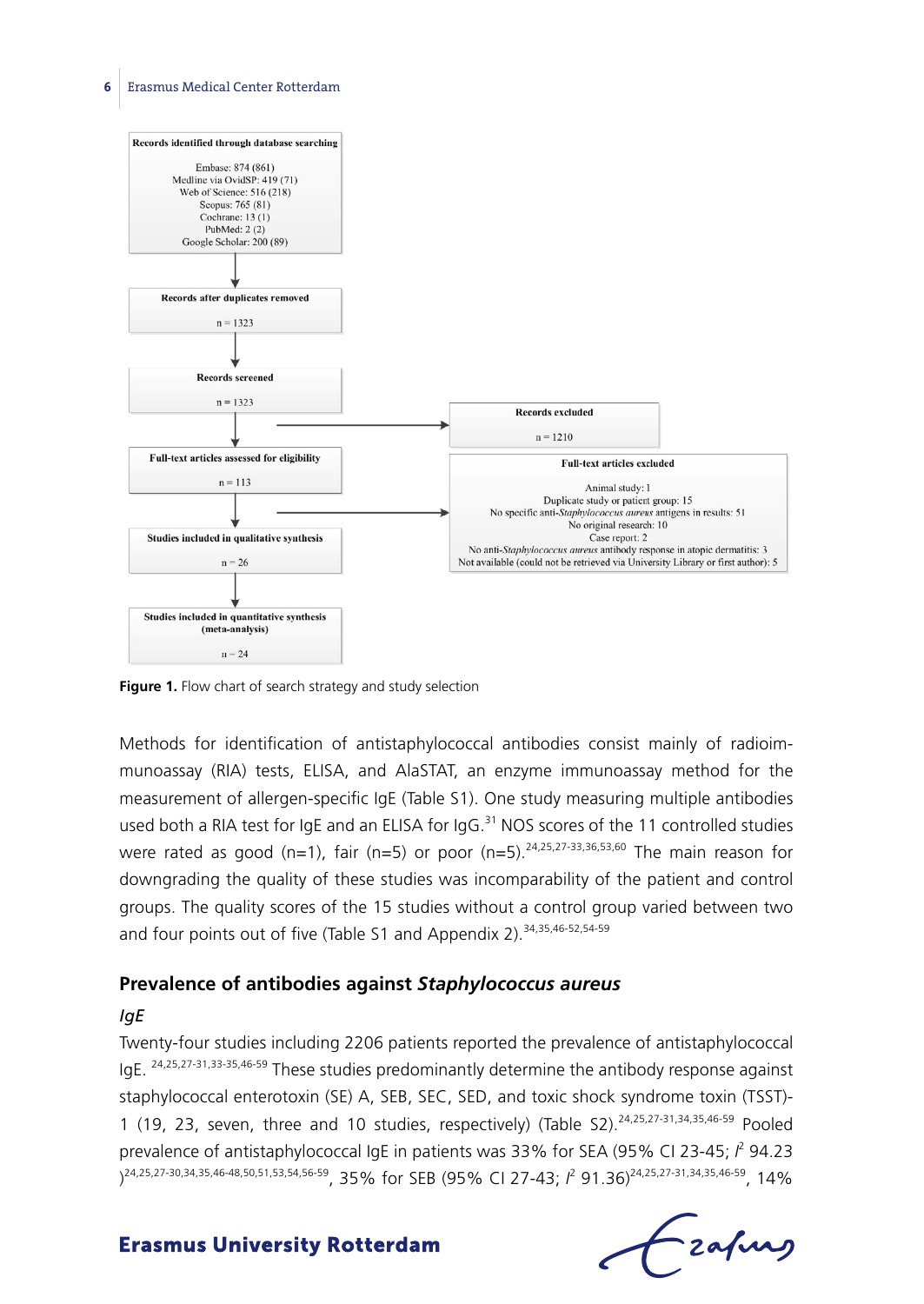

**Figure 1.** Flow chart of search strategy and study selection

Methods for identification of antistaphylococcal antibodies consist mainly of radioimmunoassay (RIA) tests, ELISA, and AlaSTAT, an enzyme immunoassay method for the measurement of allergen-specific IgE (Table S1). One study measuring multiple antibodies used both a RIA test for IgE and an ELISA for IgG.<sup>31</sup> NOS scores of the 11 controlled studies were rated as good (n=1), fair (n=5) or poor (n=5).<sup>24,25,27-33,36,53,60</sup> The main reason for downgrading the quality of these studies was incomparability of the patient and control groups. The quality scores of the 15 studies without a control group varied between two and four points out of five (Table S1 and Appendix 2).<sup>34,35,46-52,54-59</sup>

#### **Prevalence of antibodies against** *Staphylococcus aureus*

#### *IgE*

Twenty-four studies including 2206 patients reported the prevalence of antistaphylococcal IgE. 24,25,27-31,33-35,46-59 These studies predominantly determine the antibody response against staphylococcal enterotoxin (SE) A, SEB, SEC, SED, and toxic shock syndrome toxin (TSST)- 1 (19, 23, seven, three and 10 studies, respectively) (Table S2).<sup>24,25,27-31,34,35,46-59</sup> Pooled prevalence of antistaphylococcal IgE in patients was 33% for SEA (95% CI 23-45;  $l^2$  94.23 )<sup>24,25,27-30,34,35,46-48,50,51,53,54,56-59, 35% for SEB (95% CI 27-43; *I<sup>2</sup>* 91.36)<sup>24,25,27-31,34,35,46-59, 14%</sup></sup>

 $f$  zafung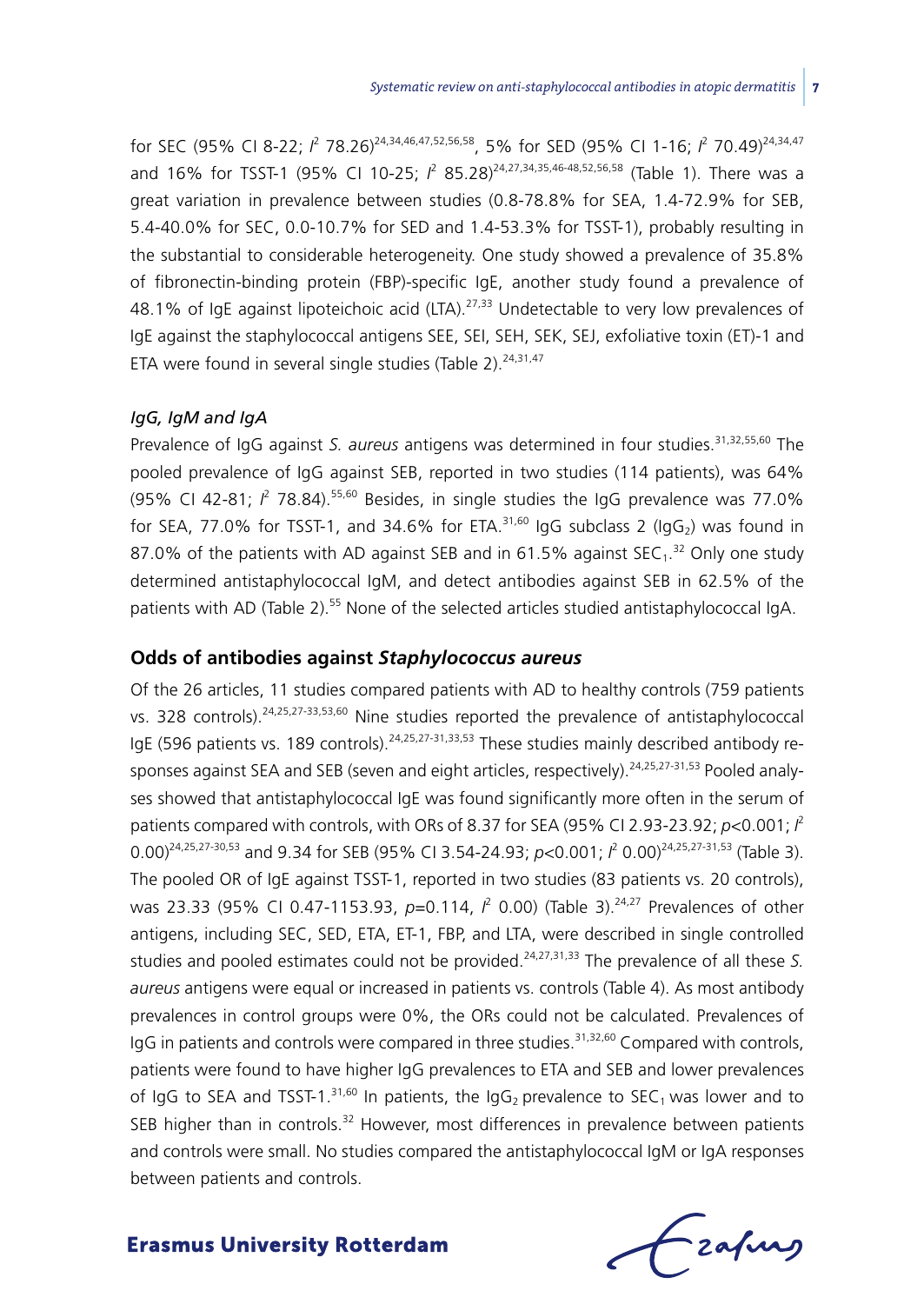for SEC (95% CI 8-22; *i<sup>2</sup> 7*8.26)<sup>24,34,46,47,52,56,58</sup>, 5% for SED (95% CI 1-16; *i<sup>2</sup> 7*0.49)<sup>24,34,47</sup> and 16% for TSST-1 (95% CI 10-25; *I*<sup>2</sup> 85.28)<sup>24,27,34,35,46-48,52,56,58</sup> (Table 1). There was a great variation in prevalence between studies (0.8-78.8% for SEA, 1.4-72.9% for SEB, 5.4-40.0% for SEC, 0.0-10.7% for SED and 1.4-53.3% for TSST-1), probably resulting in the substantial to considerable heterogeneity. One study showed a prevalence of 35.8% of fibronectin-binding protein (FBP)-specific IgE, another study found a prevalence of 48.1% of IgE against lipoteichoic acid (LTA).<sup>27,33</sup> Undetectable to very low prevalences of IgE against the staphylococcal antigens SEE, SEI, SEH, SEK, SEJ, exfoliative toxin (ET)-1 and ETA were found in several single studies (Table 2). $24,31,47$ 

#### *IgG, IgM and IgA*

Prevalence of IgG against *S. aureus* antigens was determined in four studies.31,32,55,60 The pooled prevalence of IgG against SEB, reported in two studies (114 patients), was 64% (95% CI 42-81;  $l^2$  78.84).<sup>55,60</sup> Besides, in single studies the IgG prevalence was 77.0% for SEA, 77.0% for TSST-1, and 34.6% for ETA. $31,60$  IgG subclass 2 (IgG<sub>2</sub>) was found in 87.0% of the patients with AD against SEB and in 61.5% against  $sec_1$ .<sup>32</sup> Only one study determined antistaphylococcal IgM, and detect antibodies against SEB in 62.5% of the patients with AD (Table 2).<sup>55</sup> None of the selected articles studied antistaphylococcal IqA.

# **Odds of antibodies against** *Staphylococcus aureus*

Of the 26 articles, 11 studies compared patients with AD to healthy controls (759 patients vs. 328 controls).<sup>24,25,27-33,53,60</sup> Nine studies reported the prevalence of antistaphylococcal IgE (596 patients vs. 189 controls).  $24,25,27-31,33,53$  These studies mainly described antibody responses against SEA and SEB (seven and eight articles, respectively).<sup>24,25,27-31,53</sup> Pooled analyses showed that antistaphylococcal IgE was found significantly more often in the serum of patients compared with controls, with ORs of 8.37 for SEA (95% CI 2.93-23.92; *p*<0.001; *I* 2 0.00)<sup>24,25,27-30,53</sup> and 9.34 for SEB (95% CI 3.54-24.93; *p<*0.001;  $l^2$  0.00)<sup>24,25,27-31,53</sup> (Table 3). The pooled OR of IgE against TSST-1, reported in two studies (83 patients vs. 20 controls), was 23.33 (95% CI 0.47-1153.93, *p*=0.114, *l*<sup>2</sup> 0.00) (Table 3).<sup>24,27</sup> Prevalences of other antigens, including SEC, SED, ETA, ET-1, FBP, and LTA, were described in single controlled studies and pooled estimates could not be provided.<sup>24,27,31,33</sup> The prevalence of all these *S*. *aureus* antigens were equal or increased in patients vs. controls (Table 4). As most antibody prevalences in control groups were 0%, the ORs could not be calculated. Prevalences of IgG in patients and controls were compared in three studies.<sup>31,32,60</sup> Compared with controls. patients were found to have higher IgG prevalences to ETA and SEB and lower prevalences of IgG to SEA and TSST-1.<sup>31,60</sup> In patients, the IgG<sub>2</sub> prevalence to SEC<sub>1</sub> was lower and to SEB higher than in controls. $32$  However, most differences in prevalence between patients and controls were small. No studies compared the antistaphylococcal IgM or IgA responses between patients and controls.

frafing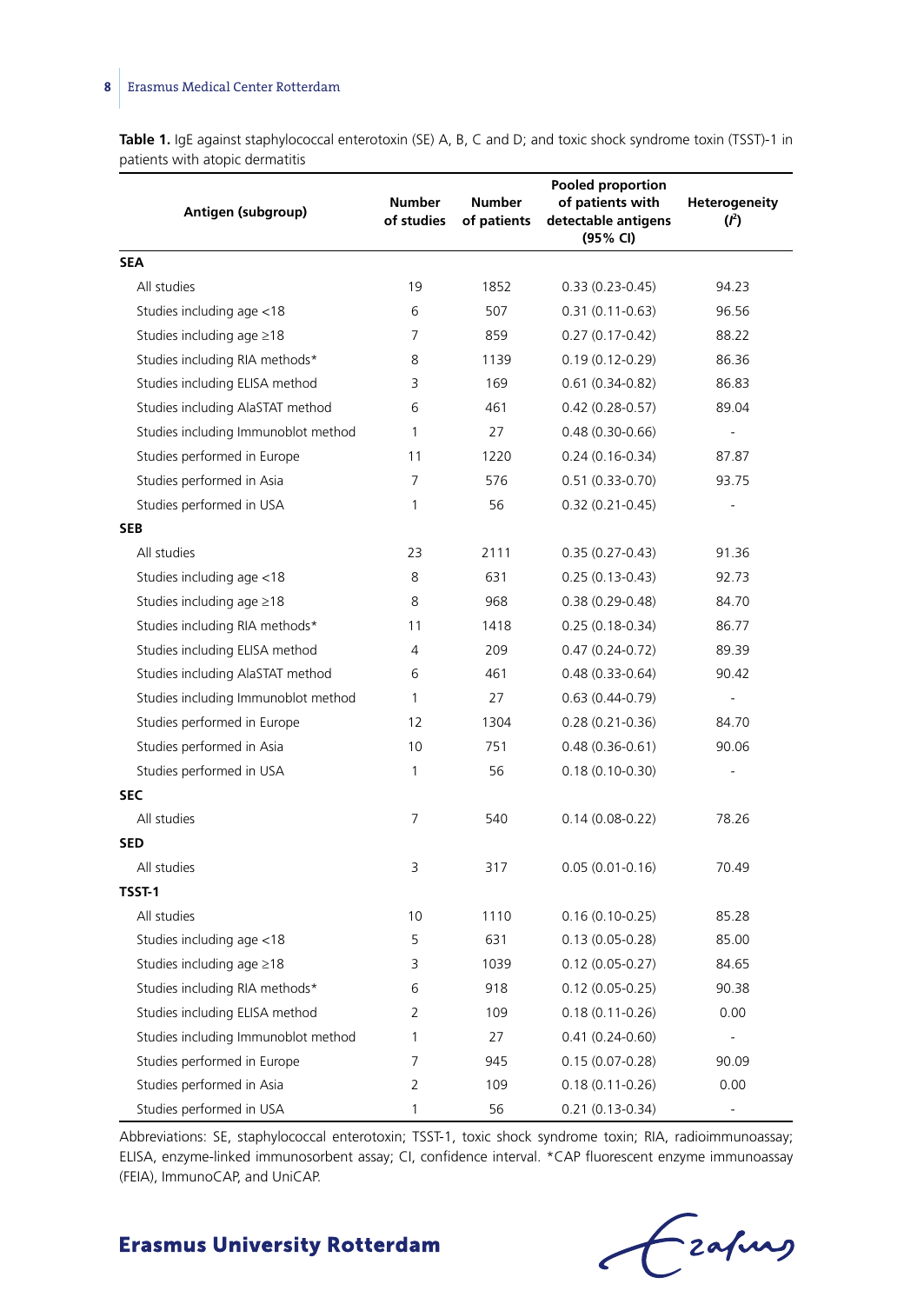**Table 1.** IgE against staphylococcal enterotoxin (SE) A, B, C and D; and toxic shock syndrome toxin (TSST)-1 in patients with atopic dermatitis

| Antigen (subgroup)                  | Number<br>of studies | Number<br>of patients | <b>Pooled proportion</b><br>of patients with<br>detectable antigens<br>(95% CI) | Heterogeneity<br>$(l^2)$ |
|-------------------------------------|----------------------|-----------------------|---------------------------------------------------------------------------------|--------------------------|
| <b>SEA</b>                          |                      |                       |                                                                                 |                          |
| All studies                         | 19                   | 1852                  | $0.33(0.23 - 0.45)$                                                             | 94.23                    |
| Studies including age <18           | 6                    | 507                   | $0.31(0.11-0.63)$                                                               | 96.56                    |
| Studies including age ≥18           | 7                    | 859                   | $0.27(0.17-0.42)$                                                               | 88.22                    |
| Studies including RIA methods*      | 8                    | 1139                  | $0.19(0.12 - 0.29)$                                                             | 86.36                    |
| Studies including ELISA method      | 3                    | 169                   | $0.61(0.34 - 0.82)$                                                             | 86.83                    |
| Studies including AlaSTAT method    | 6                    | 461                   | $0.42(0.28-0.57)$                                                               | 89.04                    |
| Studies including Immunoblot method | 1                    | 27                    | $0.48(0.30 - 0.66)$                                                             |                          |
| Studies performed in Europe         | 11                   | 1220                  | $0.24(0.16-0.34)$                                                               | 87.87                    |
| Studies performed in Asia           | 7                    | 576                   | $0.51(0.33-0.70)$                                                               | 93.75                    |
| Studies performed in USA            | 1                    | 56                    | $0.32(0.21-0.45)$                                                               |                          |
| <b>SEB</b>                          |                      |                       |                                                                                 |                          |
| All studies                         | 23                   | 2111                  | $0.35(0.27 - 0.43)$                                                             | 91.36                    |
| Studies including age <18           | 8                    | 631                   | $0.25(0.13-0.43)$                                                               | 92.73                    |
| Studies including age ≥18           | 8                    | 968                   | $0.38(0.29 - 0.48)$                                                             | 84.70                    |
| Studies including RIA methods*      | 11                   | 1418                  | $0.25(0.18-0.34)$                                                               | 86.77                    |
| Studies including ELISA method      | 4                    | 209                   | $0.47(0.24-0.72)$                                                               | 89.39                    |
| Studies including AlaSTAT method    | 6                    | 461                   | $0.48(0.33 - 0.64)$                                                             | 90.42                    |
| Studies including Immunoblot method | 1                    | 27                    | $0.63(0.44-0.79)$                                                               | ÷,                       |
| Studies performed in Europe         | 12                   | 1304                  | $0.28(0.21-0.36)$                                                               | 84.70                    |
| Studies performed in Asia           | 10                   | 751                   | $0.48(0.36 - 0.61)$                                                             | 90.06                    |
| Studies performed in USA            | 1                    | 56                    | $0.18(0.10-0.30)$                                                               |                          |
| <b>SEC</b>                          |                      |                       |                                                                                 |                          |
| All studies                         | 7                    | 540                   | $0.14(0.08-0.22)$                                                               | 78.26                    |
| <b>SED</b>                          |                      |                       |                                                                                 |                          |
| All studies                         | 3                    | 317                   | $0.05(0.01-0.16)$                                                               | 70.49                    |
| <b>TSST-1</b>                       |                      |                       |                                                                                 |                          |
| All studies                         | 10                   | 1110                  | $0.16(0.10-0.25)$                                                               | 85.28                    |
| Studies including age <18           | 5                    | 631                   | $0.13(0.05 - 0.28)$                                                             | 85.00                    |
| Studies including age ≥18           | 3                    | 1039                  | $0.12(0.05 - 0.27)$                                                             | 84.65                    |
| Studies including RIA methods*      | 6                    | 918                   | $0.12(0.05 - 0.25)$                                                             | 90.38                    |
| Studies including ELISA method      | $\overline{2}$       | 109                   | $0.18(0.11-0.26)$                                                               | 0.00                     |
| Studies including Immunoblot method | 1                    | 27                    | $0.41(0.24-0.60)$                                                               | ÷,                       |
| Studies performed in Europe         | 7                    | 945                   | $0.15(0.07 - 0.28)$                                                             | 90.09                    |
| Studies performed in Asia           | $\overline{2}$       | 109                   | $0.18(0.11-0.26)$                                                               | 0.00                     |
| Studies performed in USA            | 1                    | 56                    | $0.21(0.13 - 0.34)$                                                             |                          |

Abbreviations: SE, staphylococcal enterotoxin; TSST-1, toxic shock syndrome toxin; RIA, radioimmunoassay; ELISA, enzyme-linked immunosorbent assay; CI, confidence interval. \*CAP fluorescent enzyme immunoassay (FEIA), ImmunoCAP, and UniCAP.

Fraping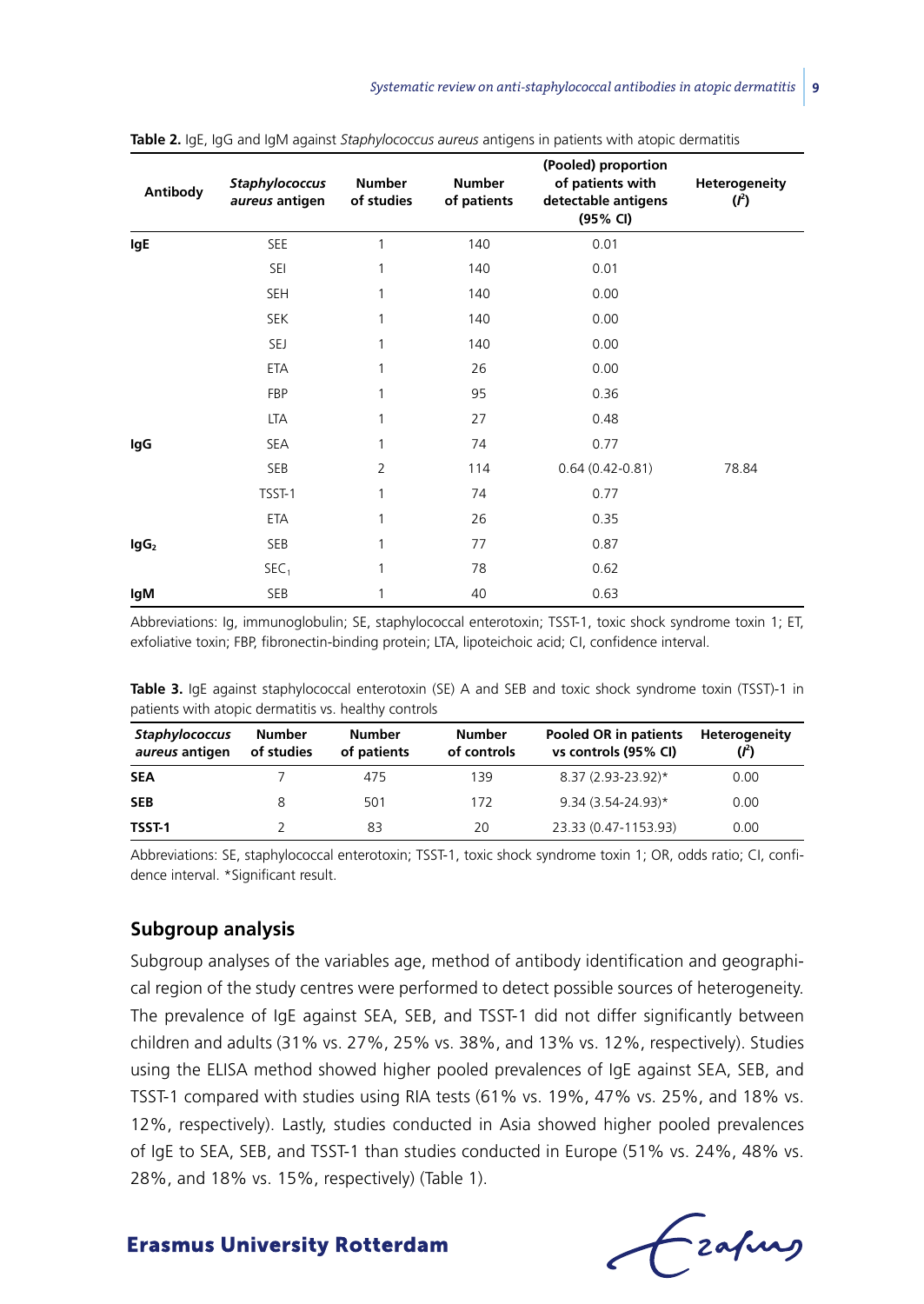| Antibody         | Staphylococcus<br>aureus antigen | <b>Number</b><br>of studies | <b>Number</b><br>of patients | (Pooled) proportion<br>of patients with<br>detectable antigens<br>(95% CI) | Heterogeneity<br>$(l^2)$ |
|------------------|----------------------------------|-----------------------------|------------------------------|----------------------------------------------------------------------------|--------------------------|
| lgE              | SEE                              | 1                           | 140                          | 0.01                                                                       |                          |
|                  | SEI                              | 1                           | 140                          | 0.01                                                                       |                          |
|                  | <b>SEH</b>                       | 1                           | 140                          | 0.00                                                                       |                          |
|                  | <b>SEK</b>                       | 1                           | 140                          | 0.00                                                                       |                          |
|                  | SEJ                              | 1                           | 140                          | 0.00                                                                       |                          |
|                  | ETA                              | 1                           | 26                           | 0.00                                                                       |                          |
|                  | FBP                              | 1                           | 95                           | 0.36                                                                       |                          |
|                  | LTA                              | 1                           | 27                           | 0.48                                                                       |                          |
| lgG              | SEA                              | 1                           | 74                           | 0.77                                                                       |                          |
|                  | SEB                              | $\overline{2}$              | 114                          | $0.64(0.42 - 0.81)$                                                        | 78.84                    |
|                  | TSST-1                           | 1                           | 74                           | 0.77                                                                       |                          |
|                  | ETA                              | 1                           | 26                           | 0.35                                                                       |                          |
| lgG <sub>2</sub> | SEB                              | 1                           | 77                           | 0.87                                                                       |                          |
|                  | SEC <sub>1</sub>                 | 1                           | 78                           | 0.62                                                                       |                          |
| IgM              | SEB                              | 1                           | 40                           | 0.63                                                                       |                          |

|  |  |  |  |  |  |  |  |  |  | <b>Table 2.</b> IgE, IgG and IgM against <i>Staphylococcus aureus</i> antigens in patients with atopic dermatitis |  |  |  |  |  |  |  |
|--|--|--|--|--|--|--|--|--|--|-------------------------------------------------------------------------------------------------------------------|--|--|--|--|--|--|--|
|--|--|--|--|--|--|--|--|--|--|-------------------------------------------------------------------------------------------------------------------|--|--|--|--|--|--|--|

Abbreviations: Ig, immunoglobulin; SE, staphylococcal enterotoxin; TSST-1, toxic shock syndrome toxin 1; ET, exfoliative toxin; FBP, fibronectin-binding protein; LTA, lipoteichoic acid; CI, confidence interval.

**Table 3.** IgE against staphylococcal enterotoxin (SE) A and SEB and toxic shock syndrome toxin (TSST)-1 in patients with atopic dermatitis vs. healthy controls

| <b>Staphylococcus</b><br>aureus antigen | Number<br>of studies | Number<br>of patients | Number<br>of controls | Pooled OR in patients<br>vs controls (95% CI) | Heterogeneity |
|-----------------------------------------|----------------------|-----------------------|-----------------------|-----------------------------------------------|---------------|
| <b>SEA</b>                              |                      | 475                   | 139                   | 8.37 (2.93-23.92)*                            | 0.00          |
| <b>SEB</b>                              |                      | 501                   | 172                   | $9.34(3.54 - 24.93)*$                         | 0.00          |
| <b>TSST-1</b>                           |                      | 83                    | 20                    | 23.33 (0.47-1153.93)                          | 0.00          |

Abbreviations: SE, staphylococcal enterotoxin; TSST-1, toxic shock syndrome toxin 1; OR, odds ratio; CI, confidence interval. \*Significant result.

#### **Subgroup analysis**

Subgroup analyses of the variables age, method of antibody identification and geographical region of the study centres were performed to detect possible sources of heterogeneity. The prevalence of IgE against SEA, SEB, and TSST-1 did not differ significantly between children and adults (31% vs. 27%, 25% vs. 38%, and 13% vs. 12%, respectively). Studies using the ELISA method showed higher pooled prevalences of IgE against SEA, SEB, and TSST-1 compared with studies using RIA tests (61% vs. 19%, 47% vs. 25%, and 18% vs. 12%, respectively). Lastly, studies conducted in Asia showed higher pooled prevalences of IgE to SEA, SEB, and TSST-1 than studies conducted in Europe (51% vs. 24%, 48% vs. 28%, and 18% vs. 15%, respectively) (Table 1).

- zafurs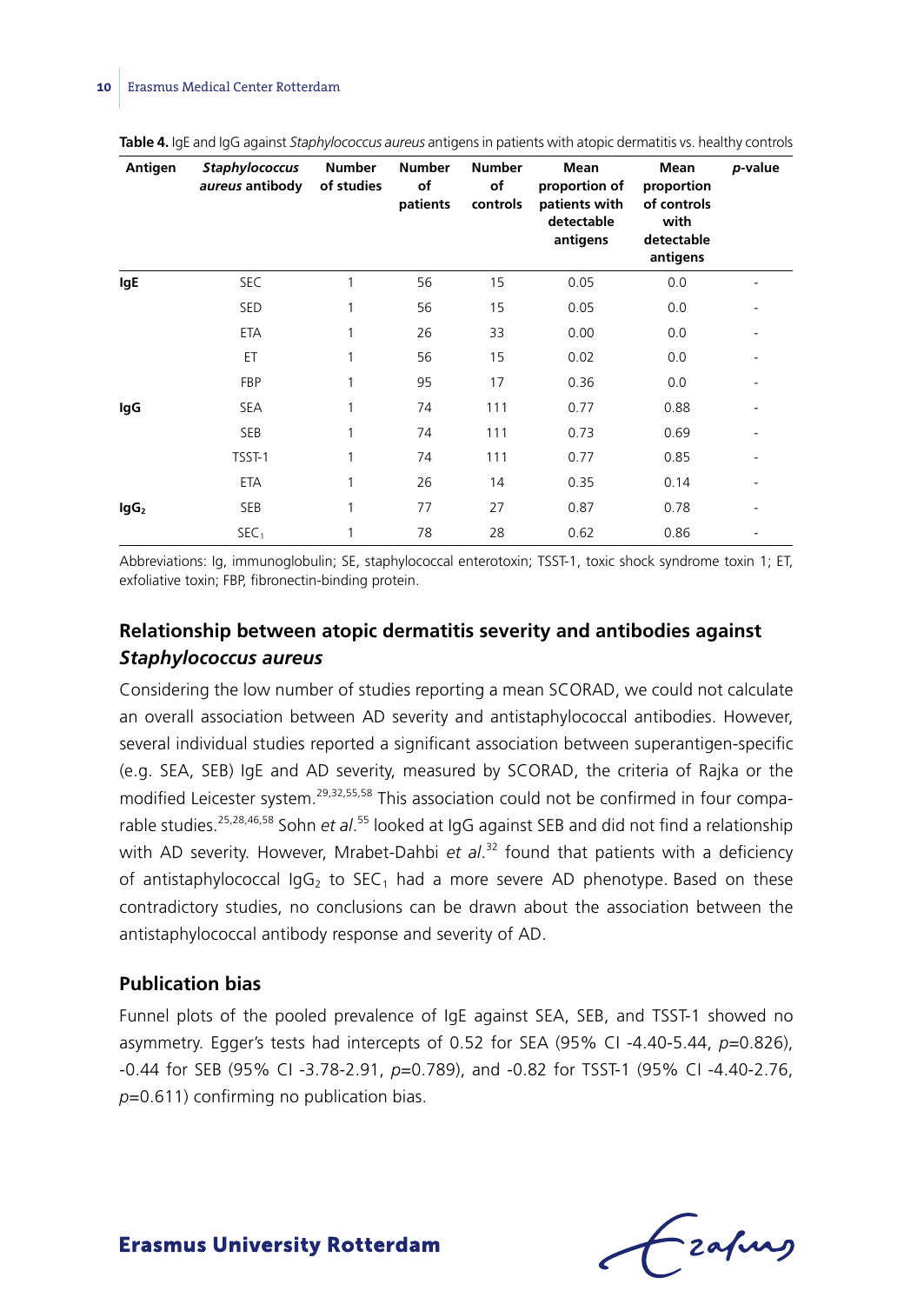| Antigen   | <b>Staphylococcus</b><br>aureus antibody | <b>Number</b><br>of studies | <b>Number</b><br>of<br>patients | <b>Number</b><br>of<br>controls | Mean<br>proportion of<br>patients with<br>detectable<br>antigens | Mean<br>proportion<br>of controls<br>with<br>detectable<br>antigens | p-value |
|-----------|------------------------------------------|-----------------------------|---------------------------------|---------------------------------|------------------------------------------------------------------|---------------------------------------------------------------------|---------|
| lgE       | SEC                                      | 1                           | 56                              | 15                              | 0.05                                                             | 0.0                                                                 |         |
|           | <b>SED</b>                               | 1                           | 56                              | 15                              | 0.05                                                             | 0.0                                                                 |         |
|           | ETA                                      | 1                           | 26                              | 33                              | 0.00                                                             | 0.0                                                                 |         |
|           | ET                                       | 1                           | 56                              | 15                              | 0.02                                                             | 0.0                                                                 |         |
|           | FBP                                      | 1                           | 95                              | 17                              | 0.36                                                             | 0.0                                                                 |         |
| lgG       | <b>SEA</b>                               | 1                           | 74                              | 111                             | 0.77                                                             | 0.88                                                                |         |
|           | <b>SEB</b>                               | 1                           | 74                              | 111                             | 0.73                                                             | 0.69                                                                |         |
|           | TSST-1                                   | 1                           | 74                              | 111                             | 0.77                                                             | 0.85                                                                |         |
|           | ETA                                      | 1                           | 26                              | 14                              | 0.35                                                             | 0.14                                                                |         |
| $\lg G_2$ | SEB                                      | 1                           | 77                              | 27                              | 0.87                                                             | 0.78                                                                | ٠       |
|           | SEC <sub>1</sub>                         | 1                           | 78                              | 28                              | 0.62                                                             | 0.86                                                                |         |

**Table 4.** IgE and IgG against *Staphylococcus aureus* antigens in patients with atopic dermatitis vs. healthy controls

Abbreviations: Ig, immunoglobulin; SE, staphylococcal enterotoxin; TSST-1, toxic shock syndrome toxin 1; ET, exfoliative toxin; FBP, fibronectin-binding protein.

# **Relationship between atopic dermatitis severity and antibodies against**  *Staphylococcus aureus*

Considering the low number of studies reporting a mean SCORAD, we could not calculate an overall association between AD severity and antistaphylococcal antibodies. However, several individual studies reported a significant association between superantigen-specific (e.g. SEA, SEB) IgE and AD severity, measured by SCORAD, the criteria of Rajka or the modified Leicester system.<sup>29,32,55,58</sup> This association could not be confirmed in four comparable studies.<sup>25,28,46,58</sup> Sohn et al.<sup>55</sup> looked at IgG against SEB and did not find a relationship with AD severity. However, Mrabet-Dahbi *et al*. 32 found that patients with a deficiency of antistaphylococcal  $\text{IqG}_2$  to  $\text{SEC}_1$  had a more severe AD phenotype. Based on these contradictory studies, no conclusions can be drawn about the association between the antistaphylococcal antibody response and severity of AD.

# **Publication bias**

Funnel plots of the pooled prevalence of IgE against SEA, SEB, and TSST-1 showed no asymmetry. Egger's tests had intercepts of 0.52 for SEA (95% CI -4.40-5.44, *p*=0.826), -0.44 for SEB (95% CI -3.78-2.91, *p*=0.789), and -0.82 for TSST-1 (95% CI -4.40-2.76, *p*=0.611) confirming no publication bias.

Frafing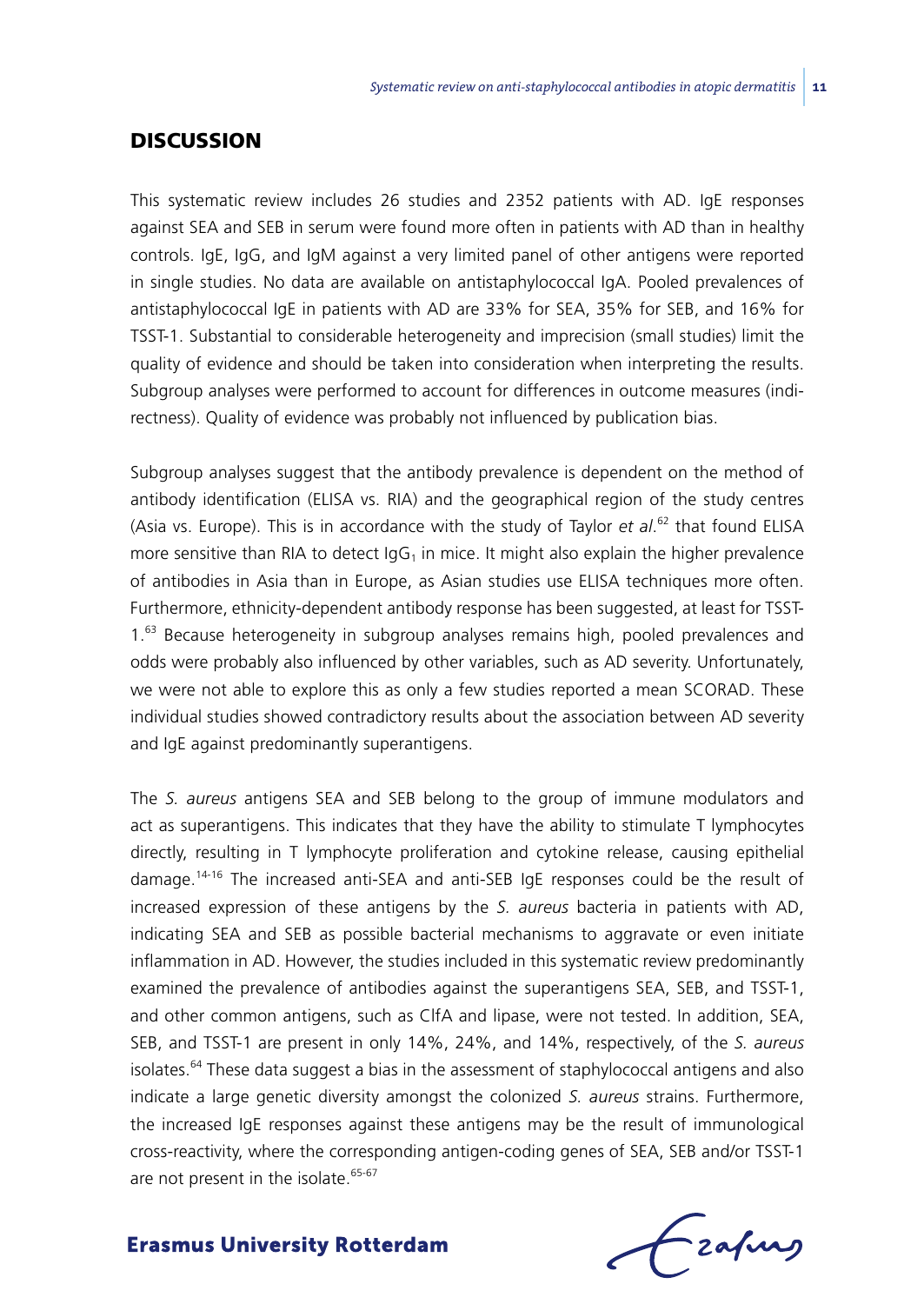# **DISCUSSION**

This systematic review includes 26 studies and 2352 patients with AD. IgE responses against SEA and SEB in serum were found more often in patients with AD than in healthy controls. IgE, IgG, and IgM against a very limited panel of other antigens were reported in single studies. No data are available on antistaphylococcal IgA. Pooled prevalences of antistaphylococcal IgE in patients with AD are 33% for SEA, 35% for SEB, and 16% for TSST-1. Substantial to considerable heterogeneity and imprecision (small studies) limit the quality of evidence and should be taken into consideration when interpreting the results. Subgroup analyses were performed to account for differences in outcome measures (indirectness). Quality of evidence was probably not influenced by publication bias.

Subgroup analyses suggest that the antibody prevalence is dependent on the method of antibody identification (ELISA vs. RIA) and the geographical region of the study centres (Asia vs. Europe). This is in accordance with the study of Taylor *et al*. 62 that found ELISA more sensitive than RIA to detect  $\log G_1$  in mice. It might also explain the higher prevalence of antibodies in Asia than in Europe, as Asian studies use ELISA techniques more often. Furthermore, ethnicity-dependent antibody response has been suggested, at least for TSST-1.63 Because heterogeneity in subgroup analyses remains high, pooled prevalences and odds were probably also influenced by other variables, such as AD severity. Unfortunately, we were not able to explore this as only a few studies reported a mean SCORAD. These individual studies showed contradictory results about the association between AD severity and IgE against predominantly superantigens.

The *S. aureus* antigens SEA and SEB belong to the group of immune modulators and act as superantigens. This indicates that they have the ability to stimulate T lymphocytes directly, resulting in T lymphocyte proliferation and cytokine release, causing epithelial damage.14-16 The increased anti-SEA and anti-SEB IgE responses could be the result of increased expression of these antigens by the *S. aureus* bacteria in patients with AD, indicating SEA and SEB as possible bacterial mechanisms to aggravate or even initiate inflammation in AD. However, the studies included in this systematic review predominantly examined the prevalence of antibodies against the superantigens SEA, SEB, and TSST-1, and other common antigens, such as ClfA and lipase, were not tested. In addition, SEA, SEB, and TSST-1 are present in only 14%, 24%, and 14%, respectively, of the *S. aureus* isolates.<sup>64</sup> These data suggest a bias in the assessment of staphylococcal antigens and also indicate a large genetic diversity amongst the colonized *S. aureus* strains. Furthermore, the increased IgE responses against these antigens may be the result of immunological cross-reactivity, where the corresponding antigen-coding genes of SEA, SEB and/or TSST-1 are not present in the isolate.<sup>65-67</sup>

Frahing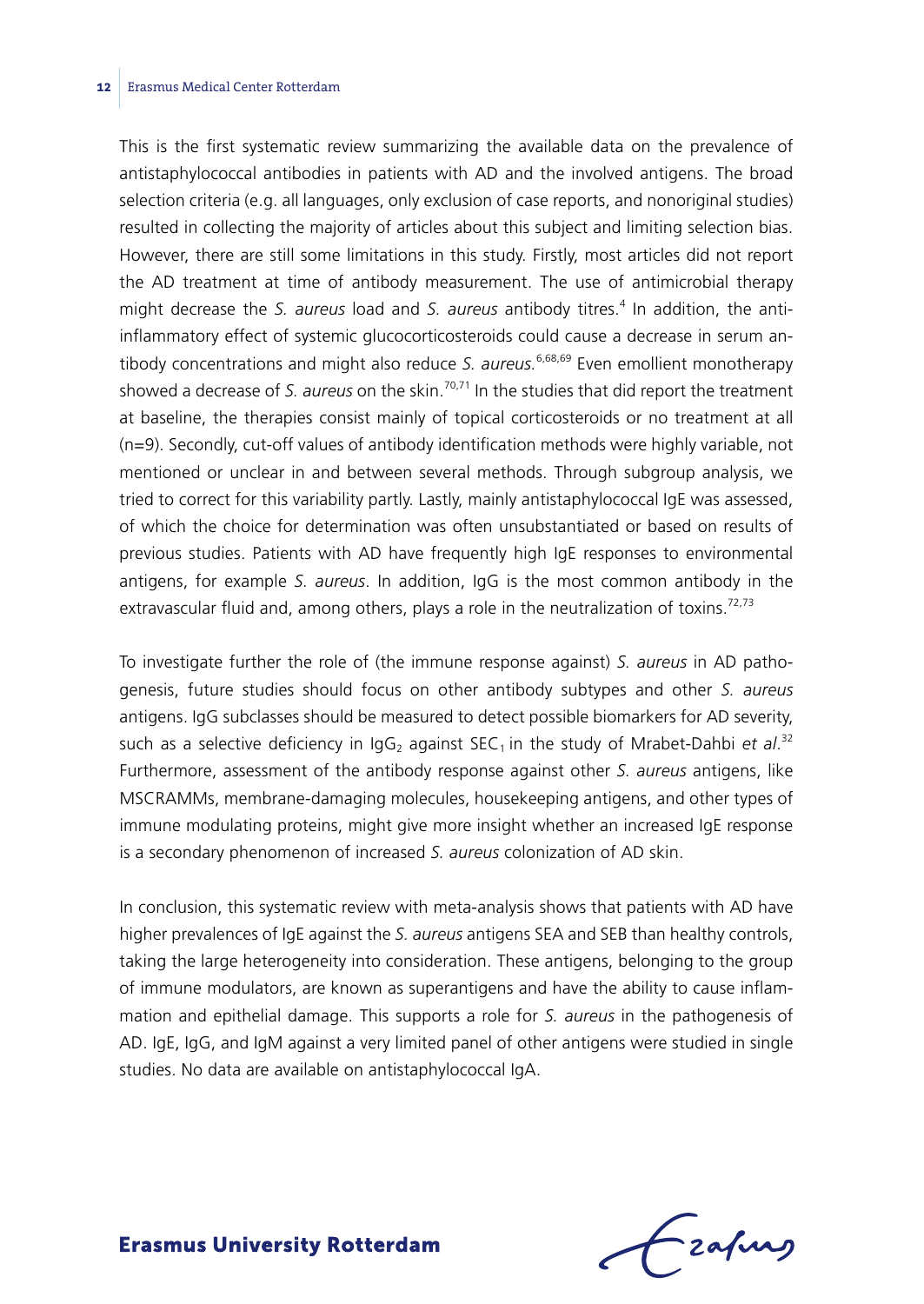This is the first systematic review summarizing the available data on the prevalence of antistaphylococcal antibodies in patients with AD and the involved antigens. The broad selection criteria (e.g. all languages, only exclusion of case reports, and nonoriginal studies) resulted in collecting the majority of articles about this subject and limiting selection bias. However, there are still some limitations in this study. Firstly, most articles did not report the AD treatment at time of antibody measurement. The use of antimicrobial therapy might decrease the *S. aureus* load and *S. aureus* antibody titres.<sup>4</sup> In addition, the antiinflammatory effect of systemic glucocorticosteroids could cause a decrease in serum antibody concentrations and might also reduce *S. aureus.<sup>6,68,69</sup>* Even emollient monotherapy showed a decrease of *S. aureus* on the skin.<sup>70,71</sup> In the studies that did report the treatment at baseline, the therapies consist mainly of topical corticosteroids or no treatment at all (n=9). Secondly, cut-off values of antibody identification methods were highly variable, not mentioned or unclear in and between several methods. Through subgroup analysis, we tried to correct for this variability partly. Lastly, mainly antistaphylococcal IgE was assessed, of which the choice for determination was often unsubstantiated or based on results of previous studies. Patients with AD have frequently high IgE responses to environmental antigens, for example *S. aureus*. In addition, IgG is the most common antibody in the extravascular fluid and, among others, plays a role in the neutralization of toxins.<sup>72,73</sup>

To investigate further the role of (the immune response against) *S. aureus* in AD pathogenesis, future studies should focus on other antibody subtypes and other *S. aureus*  antigens. IgG subclasses should be measured to detect possible biomarkers for AD severity, such as a selective deficiency in IgG<sub>2</sub> against SEC<sub>1</sub> in the study of Mrabet-Dahbi *et al.* 32 Furthermore, assessment of the antibody response against other *S. aureus* antigens, like MSCRAMMs, membrane-damaging molecules, housekeeping antigens, and other types of immune modulating proteins, might give more insight whether an increased IgE response is a secondary phenomenon of increased *S. aureus* colonization of AD skin.

In conclusion, this systematic review with meta-analysis shows that patients with AD have higher prevalences of IgE against the *S. aureus* antigens SEA and SEB than healthy controls, taking the large heterogeneity into consideration. These antigens, belonging to the group of immune modulators, are known as superantigens and have the ability to cause inflammation and epithelial damage. This supports a role for *S. aureus* in the pathogenesis of AD. IgE, IgG, and IgM against a very limited panel of other antigens were studied in single studies. No data are available on antistaphylococcal IgA.

Frafing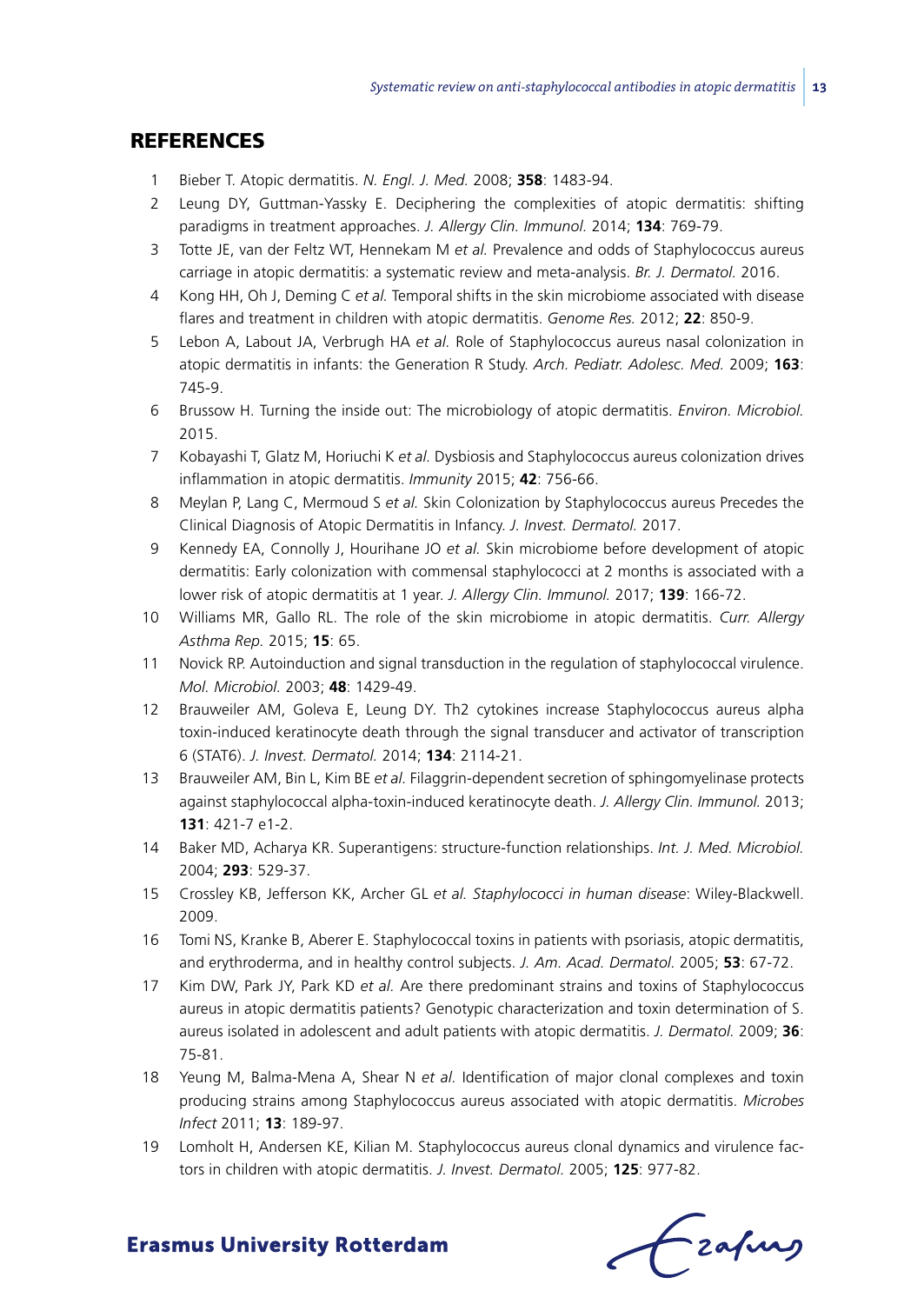## **REFERENCES**

- 1 Bieber T. Atopic dermatitis. *N. Engl. J. Med.* 2008; **358**: 1483-94.
- 2 Leung DY, Guttman-Yassky E. Deciphering the complexities of atopic dermatitis: shifting paradigms in treatment approaches. *J. Allergy Clin. Immunol.* 2014; **134**: 769-79.
- 3 Totte JE, van der Feltz WT, Hennekam M *et al.* Prevalence and odds of Staphylococcus aureus carriage in atopic dermatitis: a systematic review and meta-analysis. *Br. J. Dermatol.* 2016.
- 4 Kong HH, Oh J, Deming C *et al.* Temporal shifts in the skin microbiome associated with disease flares and treatment in children with atopic dermatitis. *Genome Res.* 2012; **22**: 850-9.
- 5 Lebon A, Labout JA, Verbrugh HA *et al.* Role of Staphylococcus aureus nasal colonization in atopic dermatitis in infants: the Generation R Study. *Arch. Pediatr. Adolesc. Med.* 2009; **163**: 745-9.
- 6 Brussow H. Turning the inside out: The microbiology of atopic dermatitis. *Environ. Microbiol.* 2015.
- 7 Kobayashi T, Glatz M, Horiuchi K *et al.* Dysbiosis and Staphylococcus aureus colonization drives inflammation in atopic dermatitis. *Immunity* 2015; **42**: 756-66.
- 8 Meylan P, Lang C, Mermoud S *et al.* Skin Colonization by Staphylococcus aureus Precedes the Clinical Diagnosis of Atopic Dermatitis in Infancy. *J. Invest. Dermatol.* 2017.
- 9 Kennedy EA, Connolly J, Hourihane JO *et al.* Skin microbiome before development of atopic dermatitis: Early colonization with commensal staphylococci at 2 months is associated with a lower risk of atopic dermatitis at 1 year. *J. Allergy Clin. Immunol.* 2017; **139**: 166-72.
- 10 Williams MR, Gallo RL. The role of the skin microbiome in atopic dermatitis. *Curr. Allergy Asthma Rep.* 2015; **15**: 65.
- 11 Novick RP. Autoinduction and signal transduction in the regulation of staphylococcal virulence. *Mol. Microbiol.* 2003; **48**: 1429-49.
- 12 Brauweiler AM, Goleva E, Leung DY. Th2 cytokines increase Staphylococcus aureus alpha toxin-induced keratinocyte death through the signal transducer and activator of transcription 6 (STAT6). *J. Invest. Dermatol.* 2014; **134**: 2114-21.
- 13 Brauweiler AM, Bin L, Kim BE *et al.* Filaggrin-dependent secretion of sphingomyelinase protects against staphylococcal alpha-toxin-induced keratinocyte death. *J. Allergy Clin. Immunol.* 2013; **131**: 421-7 e1-2.
- 14 Baker MD, Acharya KR. Superantigens: structure-function relationships. *Int. J. Med. Microbiol.* 2004; **293**: 529-37.
- 15 Crossley KB, Jefferson KK, Archer GL *et al. Staphylococci in human disease*: Wiley-Blackwell. 2009.
- 16 Tomi NS, Kranke B, Aberer E. Staphylococcal toxins in patients with psoriasis, atopic dermatitis, and erythroderma, and in healthy control subjects. *J. Am. Acad. Dermatol.* 2005; **53**: 67-72.
- 17 Kim DW, Park JY, Park KD *et al.* Are there predominant strains and toxins of Staphylococcus aureus in atopic dermatitis patients? Genotypic characterization and toxin determination of S. aureus isolated in adolescent and adult patients with atopic dermatitis. *J. Dermatol.* 2009; **36**: 75-81.
- 18 Yeung M, Balma-Mena A, Shear N *et al.* Identification of major clonal complexes and toxin producing strains among Staphylococcus aureus associated with atopic dermatitis. *Microbes Infect* 2011; **13**: 189-97.
- 19 Lomholt H, Andersen KE, Kilian M. Staphylococcus aureus clonal dynamics and virulence factors in children with atopic dermatitis. *J. Invest. Dermatol.* 2005; **125**: 977-82.

frafing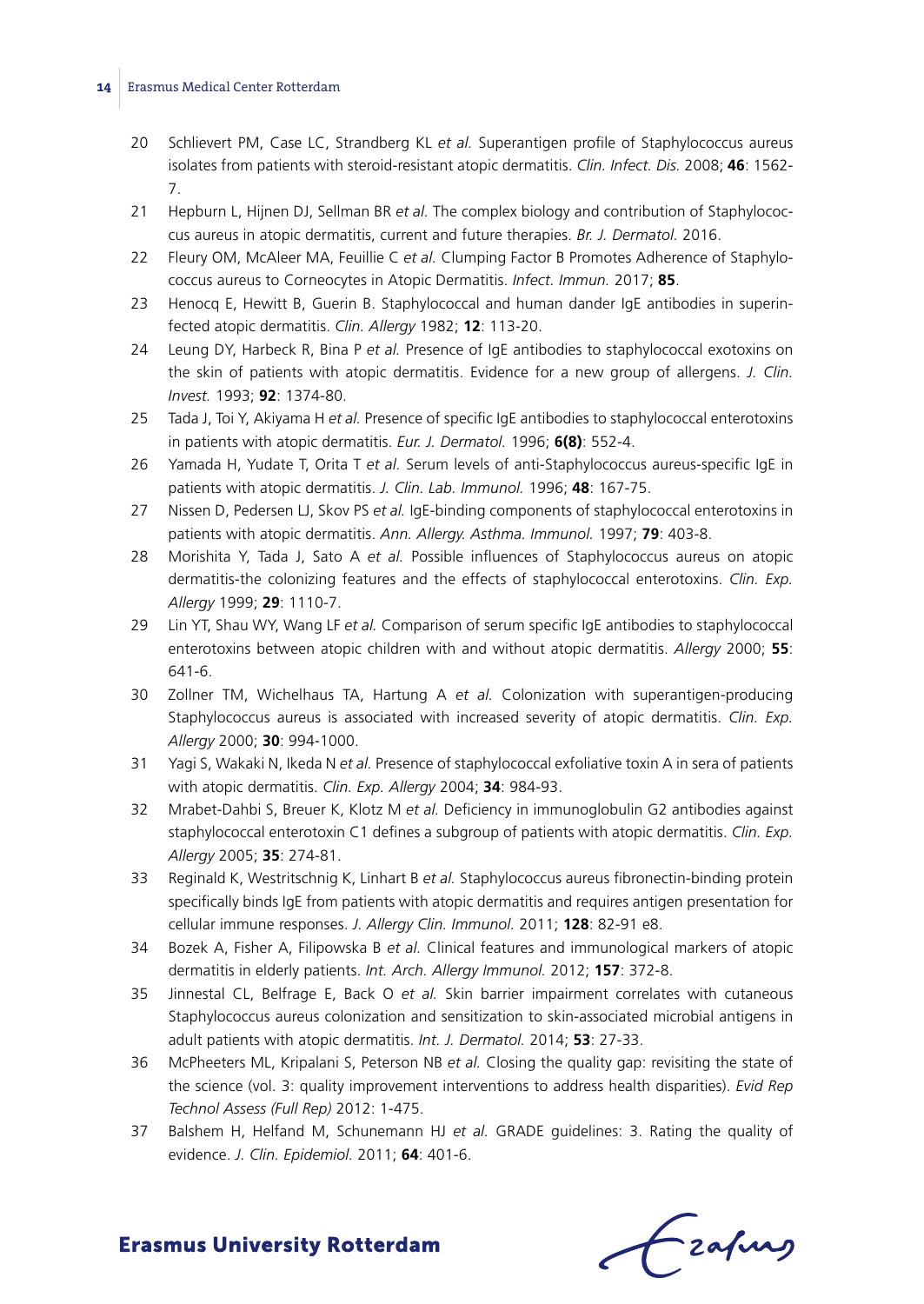- 20 Schlievert PM, Case LC, Strandberg KL *et al.* Superantigen profile of Staphylococcus aureus isolates from patients with steroid-resistant atopic dermatitis. *Clin. Infect. Dis.* 2008; **46**: 1562- 7.
- 21 Hepburn L, Hijnen DJ, Sellman BR *et al.* The complex biology and contribution of Staphylococcus aureus in atopic dermatitis, current and future therapies. *Br. J. Dermatol.* 2016.
- 22 Fleury OM, McAleer MA, Feuillie C *et al.* Clumping Factor B Promotes Adherence of Staphylococcus aureus to Corneocytes in Atopic Dermatitis. *Infect. Immun.* 2017; **85**.
- 23 Henocq E, Hewitt B, Guerin B. Staphylococcal and human dander IgE antibodies in superinfected atopic dermatitis. *Clin. Allergy* 1982; **12**: 113-20.
- 24 Leung DY, Harbeck R, Bina P *et al.* Presence of IgE antibodies to staphylococcal exotoxins on the skin of patients with atopic dermatitis. Evidence for a new group of allergens. *J. Clin. Invest.* 1993; **92**: 1374-80.
- 25 Tada J, Toi Y, Akiyama H *et al.* Presence of specific IgE antibodies to staphylococcal enterotoxins in patients with atopic dermatitis. *Eur. J. Dermatol.* 1996; **6(8)**: 552-4.
- 26 Yamada H, Yudate T, Orita T *et al.* Serum levels of anti-Staphylococcus aureus-specific IgE in patients with atopic dermatitis. *J. Clin. Lab. Immunol.* 1996; **48**: 167-75.
- 27 Nissen D, Pedersen LJ, Skov PS *et al.* IgE-binding components of staphylococcal enterotoxins in patients with atopic dermatitis. *Ann. Allergy. Asthma. Immunol.* 1997; **79**: 403-8.
- 28 Morishita Y, Tada J, Sato A *et al.* Possible influences of Staphylococcus aureus on atopic dermatitis-the colonizing features and the effects of staphylococcal enterotoxins. *Clin. Exp. Allergy* 1999; **29**: 1110-7.
- 29 Lin YT, Shau WY, Wang LF *et al.* Comparison of serum specific IgE antibodies to staphylococcal enterotoxins between atopic children with and without atopic dermatitis. *Allergy* 2000; **55**: 641-6.
- 30 Zollner TM, Wichelhaus TA, Hartung A *et al.* Colonization with superantigen-producing Staphylococcus aureus is associated with increased severity of atopic dermatitis. *Clin. Exp. Allergy* 2000; **30**: 994-1000.
- 31 Yagi S, Wakaki N, Ikeda N *et al.* Presence of staphylococcal exfoliative toxin A in sera of patients with atopic dermatitis. *Clin. Exp. Allergy* 2004; **34**: 984-93.
- 32 Mrabet-Dahbi S, Breuer K, Klotz M *et al.* Deficiency in immunoglobulin G2 antibodies against staphylococcal enterotoxin C1 defines a subgroup of patients with atopic dermatitis. *Clin. Exp. Allergy* 2005; **35**: 274-81.
- 33 Reginald K, Westritschnig K, Linhart B *et al.* Staphylococcus aureus fibronectin-binding protein specifically binds IgE from patients with atopic dermatitis and requires antigen presentation for cellular immune responses. *J. Allergy Clin. Immunol.* 2011; **128**: 82-91 e8.
- 34 Bozek A, Fisher A, Filipowska B *et al.* Clinical features and immunological markers of atopic dermatitis in elderly patients. *Int. Arch. Allergy Immunol.* 2012; **157**: 372-8.
- 35 Jinnestal CL, Belfrage E, Back O *et al.* Skin barrier impairment correlates with cutaneous Staphylococcus aureus colonization and sensitization to skin-associated microbial antigens in adult patients with atopic dermatitis. *Int. J. Dermatol.* 2014; **53**: 27-33.
- 36 McPheeters ML, Kripalani S, Peterson NB *et al.* Closing the quality gap: revisiting the state of the science (vol. 3: quality improvement interventions to address health disparities). *Evid Rep Technol Assess (Full Rep)* 2012: 1-475.
- 37 Balshem H, Helfand M, Schunemann HJ *et al.* GRADE guidelines: 3. Rating the quality of evidence. *J. Clin. Epidemiol.* 2011; **64**: 401-6.

frafing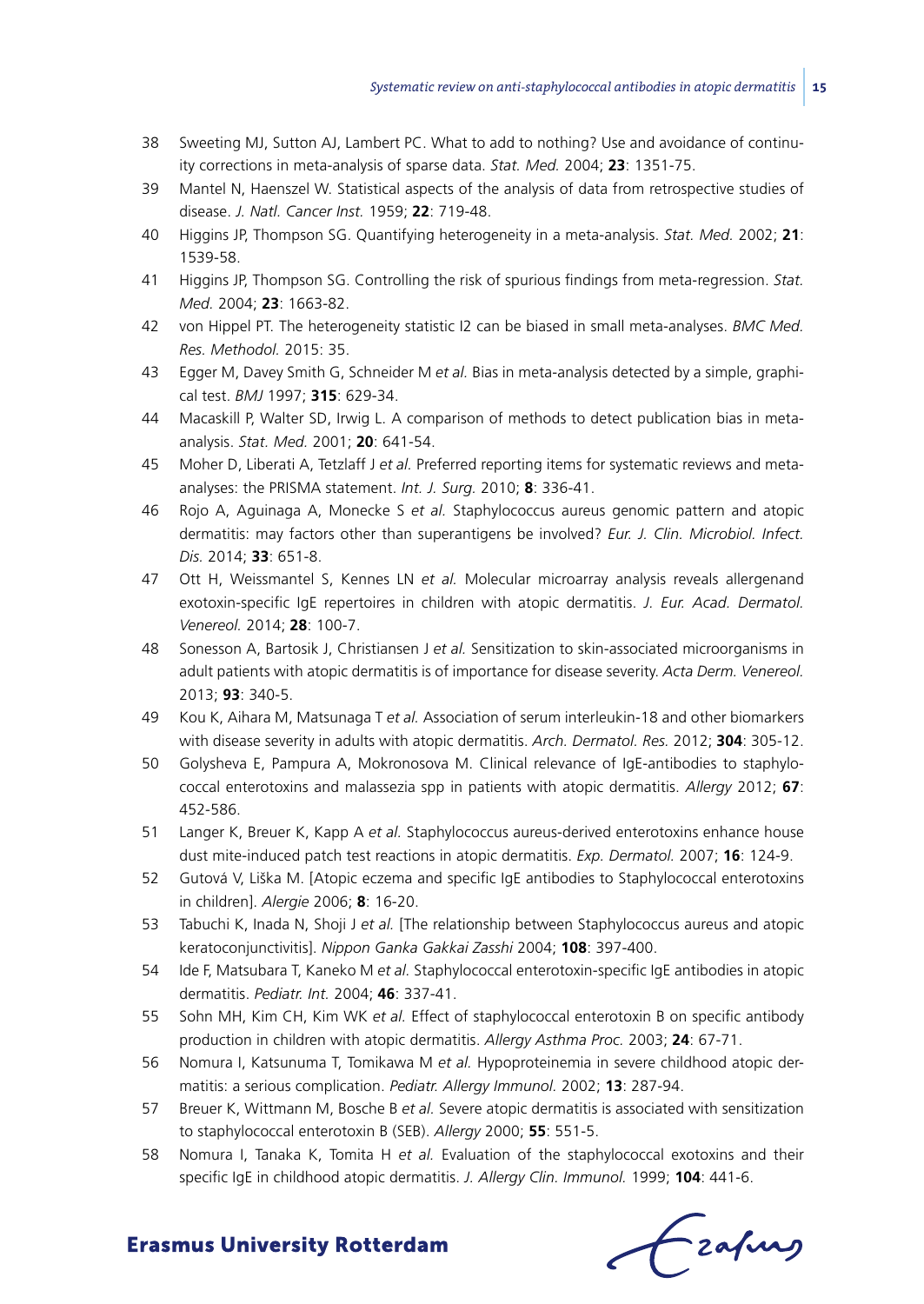- 38 Sweeting MJ, Sutton AJ, Lambert PC. What to add to nothing? Use and avoidance of continuity corrections in meta-analysis of sparse data. *Stat. Med.* 2004; **23**: 1351-75.
- 39 Mantel N, Haenszel W. Statistical aspects of the analysis of data from retrospective studies of disease. *J. Natl. Cancer Inst.* 1959; **22**: 719-48.
- 40 Higgins JP, Thompson SG. Quantifying heterogeneity in a meta-analysis. *Stat. Med.* 2002; **21**: 1539-58.
- 41 Higgins JP, Thompson SG. Controlling the risk of spurious findings from meta-regression. *Stat. Med.* 2004; **23**: 1663-82.
- 42 von Hippel PT. The heterogeneity statistic I2 can be biased in small meta-analyses. *BMC Med. Res. Methodol.* 2015: 35.
- 43 Egger M, Davey Smith G, Schneider M *et al.* Bias in meta-analysis detected by a simple, graphical test. *BMJ* 1997; **315**: 629-34.
- 44 Macaskill P, Walter SD, Irwig L. A comparison of methods to detect publication bias in metaanalysis. *Stat. Med.* 2001; **20**: 641-54.
- 45 Moher D, Liberati A, Tetzlaff J *et al.* Preferred reporting items for systematic reviews and metaanalyses: the PRISMA statement. *Int. J. Surg.* 2010; **8**: 336-41.
- 46 Rojo A, Aguinaga A, Monecke S *et al.* Staphylococcus aureus genomic pattern and atopic dermatitis: may factors other than superantigens be involved? *Eur. J. Clin. Microbiol. Infect. Dis.* 2014; **33**: 651-8.
- 47 Ott H, Weissmantel S, Kennes LN *et al.* Molecular microarray analysis reveals allergenand exotoxin-specific IgE repertoires in children with atopic dermatitis. *J. Eur. Acad. Dermatol. Venereol.* 2014; **28**: 100-7.
- 48 Sonesson A, Bartosik J, Christiansen J *et al.* Sensitization to skin-associated microorganisms in adult patients with atopic dermatitis is of importance for disease severity. *Acta Derm. Venereol.* 2013; **93**: 340-5.
- 49 Kou K, Aihara M, Matsunaga T *et al.* Association of serum interleukin-18 and other biomarkers with disease severity in adults with atopic dermatitis. *Arch. Dermatol. Res.* 2012; **304**: 305-12.
- 50 Golysheva E, Pampura A, Mokronosova M. Clinical relevance of IgE-antibodies to staphylococcal enterotoxins and malassezia spp in patients with atopic dermatitis. *Allergy* 2012; **67**: 452-586.
- 51 Langer K, Breuer K, Kapp A *et al.* Staphylococcus aureus-derived enterotoxins enhance house dust mite-induced patch test reactions in atopic dermatitis. *Exp. Dermatol.* 2007; **16**: 124-9.
- 52 Gutová V, Liška M. [Atopic eczema and specific IgE antibodies to Staphylococcal enterotoxins in children]. *Alergie* 2006; **8**: 16-20.
- 53 Tabuchi K, Inada N, Shoji J *et al.* [The relationship between Staphylococcus aureus and atopic keratoconjunctivitis]. *Nippon Ganka Gakkai Zasshi* 2004; **108**: 397-400.
- 54 Ide F, Matsubara T, Kaneko M *et al.* Staphylococcal enterotoxin-specific IgE antibodies in atopic dermatitis. *Pediatr. Int.* 2004; **46**: 337-41.
- 55 Sohn MH, Kim CH, Kim WK *et al.* Effect of staphylococcal enterotoxin B on specific antibody production in children with atopic dermatitis. *Allergy Asthma Proc.* 2003; **24**: 67-71.
- 56 Nomura I, Katsunuma T, Tomikawa M *et al.* Hypoproteinemia in severe childhood atopic dermatitis: a serious complication. *Pediatr. Allergy Immunol.* 2002; **13**: 287-94.
- 57 Breuer K, Wittmann M, Bosche B *et al.* Severe atopic dermatitis is associated with sensitization to staphylococcal enterotoxin B (SEB). *Allergy* 2000; **55**: 551-5.
- 58 Nomura I, Tanaka K, Tomita H *et al.* Evaluation of the staphylococcal exotoxins and their specific IgE in childhood atopic dermatitis. *J. Allergy Clin. Immunol.* 1999; **104**: 441-6.

frafing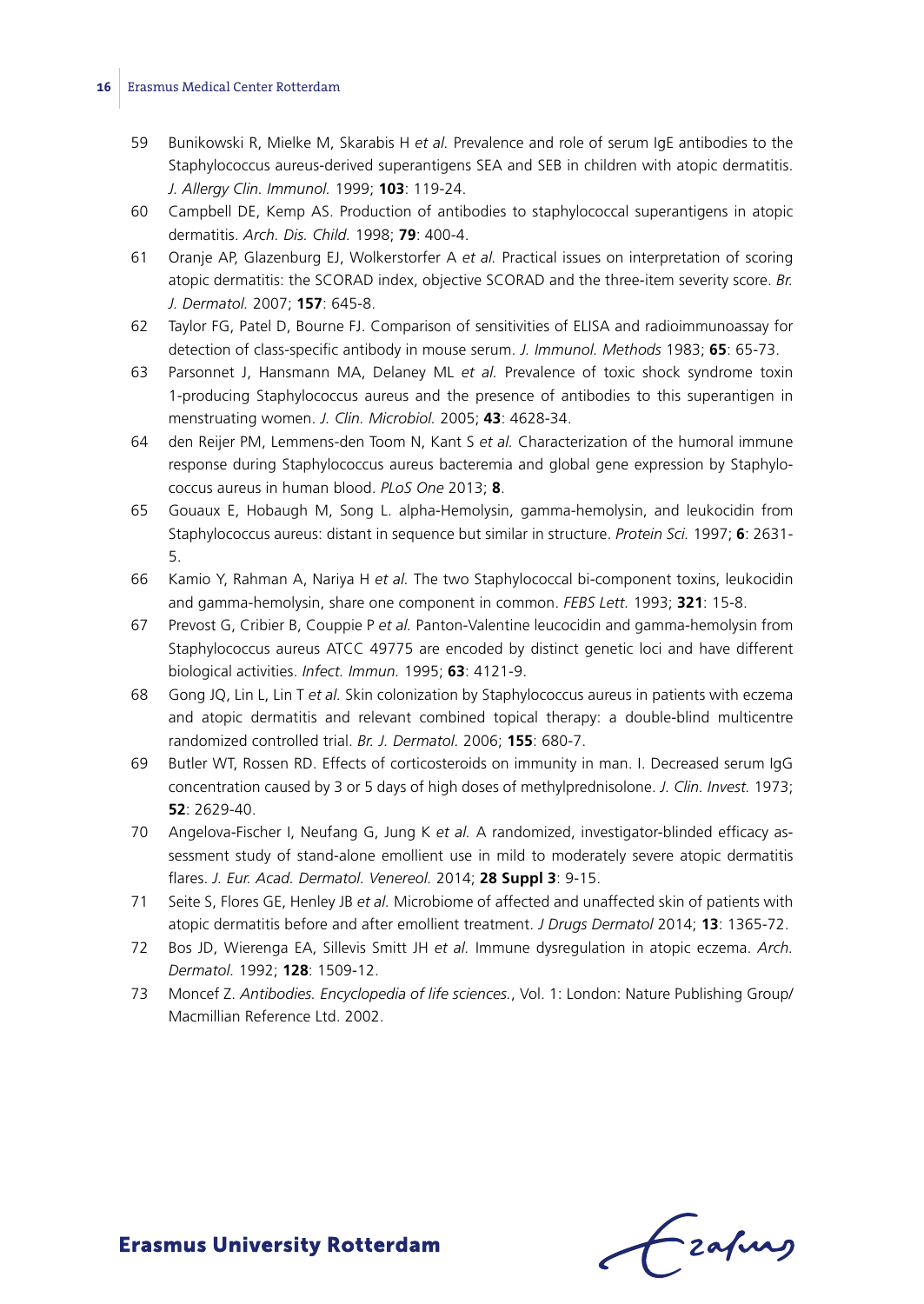- 59 Bunikowski R, Mielke M, Skarabis H *et al.* Prevalence and role of serum IgE antibodies to the Staphylococcus aureus-derived superantigens SEA and SEB in children with atopic dermatitis. *J. Allergy Clin. Immunol.* 1999; **103**: 119-24.
- 60 Campbell DE, Kemp AS. Production of antibodies to staphylococcal superantigens in atopic dermatitis. *Arch. Dis. Child.* 1998; **79**: 400-4.
- 61 Oranje AP, Glazenburg EJ, Wolkerstorfer A *et al.* Practical issues on interpretation of scoring atopic dermatitis: the SCORAD index, objective SCORAD and the three-item severity score. *Br. J. Dermatol.* 2007; **157**: 645-8.
- 62 Taylor FG, Patel D, Bourne FJ. Comparison of sensitivities of ELISA and radioimmunoassay for detection of class-specific antibody in mouse serum. *J. Immunol. Methods* 1983; **65**: 65-73.
- 63 Parsonnet J, Hansmann MA, Delaney ML *et al.* Prevalence of toxic shock syndrome toxin 1-producing Staphylococcus aureus and the presence of antibodies to this superantigen in menstruating women. *J. Clin. Microbiol.* 2005; **43**: 4628-34.
- 64 den Reijer PM, Lemmens-den Toom N, Kant S *et al.* Characterization of the humoral immune response during Staphylococcus aureus bacteremia and global gene expression by Staphylococcus aureus in human blood. *PLoS One* 2013; **8**.
- 65 Gouaux E, Hobaugh M, Song L. alpha-Hemolysin, gamma-hemolysin, and leukocidin from Staphylococcus aureus: distant in sequence but similar in structure. *Protein Sci.* 1997; **6**: 2631- 5.
- 66 Kamio Y, Rahman A, Nariya H *et al.* The two Staphylococcal bi-component toxins, leukocidin and gamma-hemolysin, share one component in common. *FEBS Lett.* 1993; **321**: 15-8.
- 67 Prevost G, Cribier B, Couppie P *et al.* Panton-Valentine leucocidin and gamma-hemolysin from Staphylococcus aureus ATCC 49775 are encoded by distinct genetic loci and have different biological activities. *Infect. Immun.* 1995; **63**: 4121-9.
- 68 Gong JQ, Lin L, Lin T *et al.* Skin colonization by Staphylococcus aureus in patients with eczema and atopic dermatitis and relevant combined topical therapy: a double-blind multicentre randomized controlled trial. *Br. J. Dermatol.* 2006; **155**: 680-7.
- 69 Butler WT, Rossen RD. Effects of corticosteroids on immunity in man. I. Decreased serum IgG concentration caused by 3 or 5 days of high doses of methylprednisolone. *J. Clin. Invest.* 1973; **52**: 2629-40.
- 70 Angelova-Fischer I, Neufang G, Jung K *et al.* A randomized, investigator-blinded efficacy assessment study of stand-alone emollient use in mild to moderately severe atopic dermatitis flares. *J. Eur. Acad. Dermatol. Venereol.* 2014; **28 Suppl 3**: 9-15.
- 71 Seite S, Flores GE, Henley JB *et al.* Microbiome of affected and unaffected skin of patients with atopic dermatitis before and after emollient treatment. *J Drugs Dermatol* 2014; **13**: 1365-72.
- 72 Bos JD, Wierenga EA, Sillevis Smitt JH *et al.* Immune dysregulation in atopic eczema. *Arch. Dermatol.* 1992; **128**: 1509-12.
- 73 Moncef Z. *Antibodies. Encyclopedia of life sciences.*, Vol. 1: London: Nature Publishing Group/ Macmillian Reference Ltd. 2002.

frafing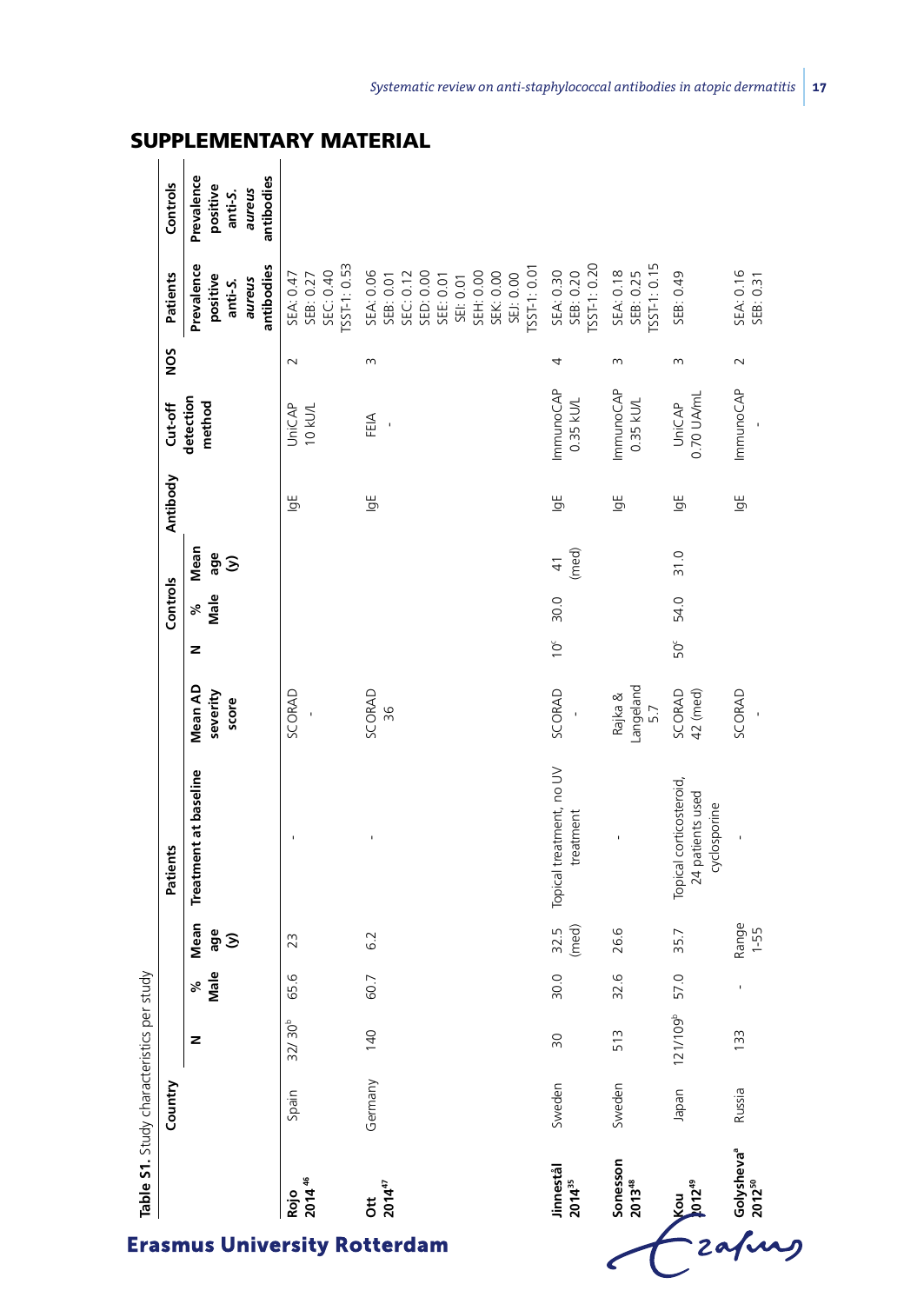|           |                                                           | Rojo<br>2014 <sup>46</sup>                         | 201447<br>$\ddot{\rm g}$                                                                                                         | Jinnestål<br>2014 <sup>35</sup>       | Sonesson<br>2013 <sup>48</sup>        | Kou<br>1012 <sup>45</sup>                                   | Golysheva <sup>®</sup> |
|-----------|-----------------------------------------------------------|----------------------------------------------------|----------------------------------------------------------------------------------------------------------------------------------|---------------------------------------|---------------------------------------|-------------------------------------------------------------|------------------------|
| Country   |                                                           | Spain                                              | Germany                                                                                                                          | Sweden                                | Sweden                                | Japan                                                       | Russia                 |
|           | z                                                         | 32/30 <sup>b</sup>                                 | 140                                                                                                                              | $\approx$                             | 513                                   | 109 <sup>b</sup><br>121/1                                   | 133                    |
|           | Male<br>℅                                                 | 65.6                                               | 60.7                                                                                                                             | 30.0                                  | 32.6                                  | 57.0                                                        |                        |
|           | Mean<br>age<br>$\hat{z}$                                  | 23                                                 | 6.2                                                                                                                              | 32.5<br>(med)                         | 26.6                                  | 35.7                                                        | Range<br>1-55          |
| Patients  | Treatment at baseline                                     |                                                    |                                                                                                                                  | Topical treatment, no UV<br>treatment |                                       | Topical corticosteroid,<br>24 patients used<br>cyclosporine |                        |
|           | Mean AD<br>severity<br>score                              | SCORAD                                             | SCORAD<br>36                                                                                                                     | SCORAD                                | Langeland<br>Rajka &<br>5.7           | SCORAD<br>42 (med)                                          | SCORAD                 |
|           | z                                                         |                                                    |                                                                                                                                  | $10^{\circ}$                          |                                       | 50                                                          |                        |
| Controls  | Male<br>್ನೇ                                               |                                                    |                                                                                                                                  | 30.0                                  |                                       | 54.0                                                        |                        |
|           | Mean<br>age<br>$\mathfrak{S}$                             |                                                    |                                                                                                                                  | (med)<br>$\frac{4}{1}$                |                                       | 31.0                                                        |                        |
| Antibody  |                                                           | $\overline{9}$                                     | ١ģ                                                                                                                               | $\overline{9}$                        | ξ                                     | ψ                                                           | $\overline{9}$         |
| $Cut-off$ | detection<br>method                                       | UniCAP<br>10 kU/L                                  | FEIA                                                                                                                             | ImmunoCAP<br>$0.35$ kUL               | ImmunoCAP<br>0.35 kU/L                | 0.70 UA/mL<br>UniCAP                                        | ImmunoCAP              |
| SON       |                                                           | $\sim$                                             | $\infty$                                                                                                                         | 4                                     | 3                                     | m                                                           | $\sim$                 |
| Patients  | antibodies<br>Prevalence<br>positive<br>aureus<br>anti-S. | SST-1: 0.53<br>SEC: 0.40<br>SEA: 0.47<br>SEB: 0.27 | ISST-1:0.01<br>SEK: 0.00<br>SEH: 0.00<br>SEA: 0.06<br>SEC: 0.12<br>SED: 0.00<br>SEJ: 0.00<br>SEE: 0.01<br>SEB: 0.01<br>SEI: 0.01 | SST-1: 0.20<br>SEA: 0.30<br>SEB: 0.20 | SST-1: 0.15<br>SEA: 0.18<br>SEB: 0.25 | SEB: 0.49                                                   | SEA: 0.16<br>SEB: 0.31 |
| Controls  | Prevalence<br>antibodies<br>positive<br>aureus<br>anti-S. |                                                    |                                                                                                                                  |                                       |                                       |                                                             |                        |

# SUPPLEMENTARY MATERIAL<br>| | |<br>| |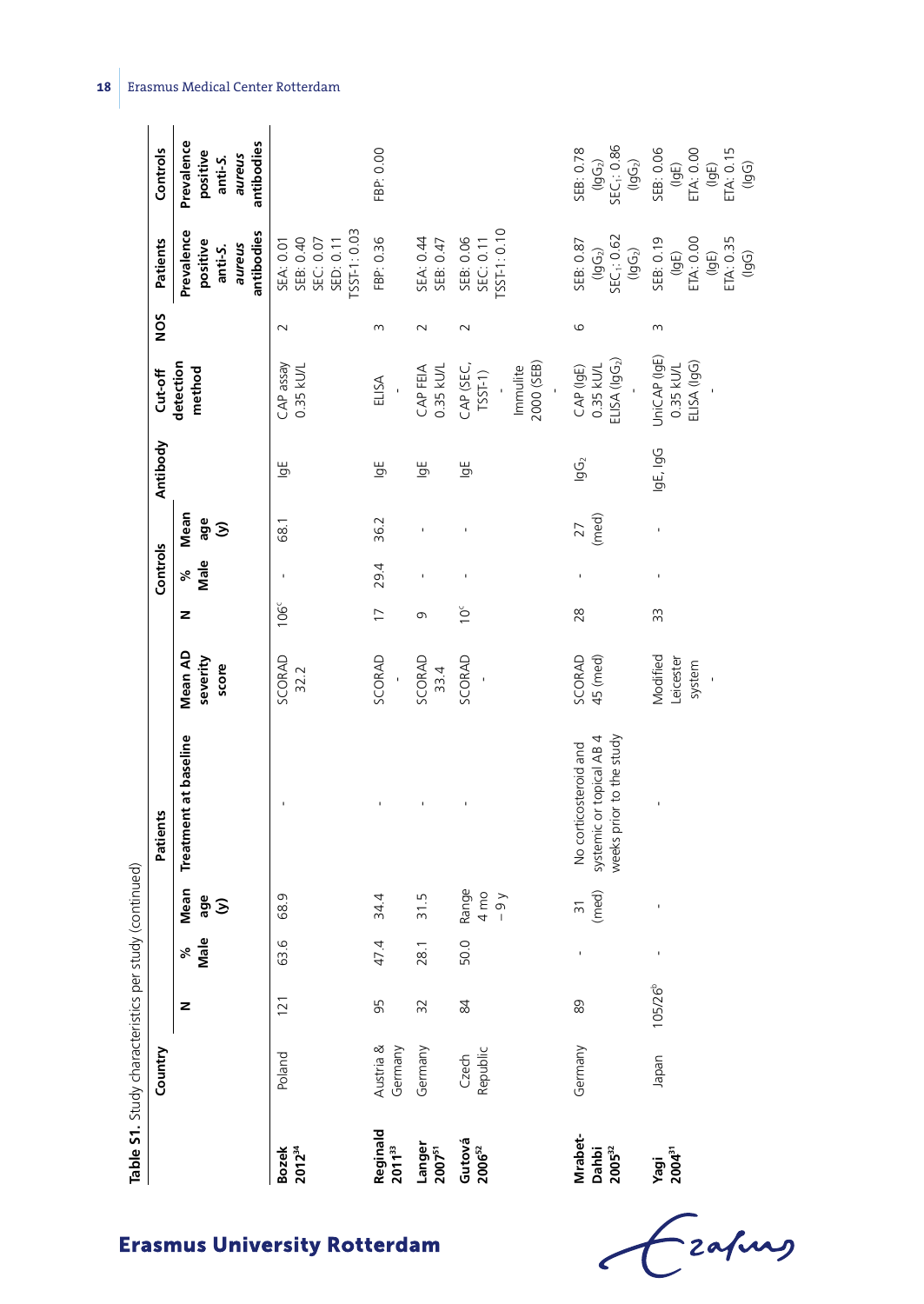|                                    | Table S1. Study characteristics per study (continued) |                     |                  |                                  |                                                                               |                                       |                  |           |                          |                |                                                    |                 |                                                                    |                                                                           |
|------------------------------------|-------------------------------------------------------|---------------------|------------------|----------------------------------|-------------------------------------------------------------------------------|---------------------------------------|------------------|-----------|--------------------------|----------------|----------------------------------------------------|-----------------|--------------------------------------------------------------------|---------------------------------------------------------------------------|
|                                    | Country                                               |                     |                  |                                  | Patients                                                                      |                                       |                  | Controls  |                          | Antibody       | Cut-off                                            | NO <sub>S</sub> | Patients                                                           | Controls                                                                  |
|                                    |                                                       | z                   | Male<br>$\aleph$ | Mean<br>age<br>$\Im$             | Treatment at baseline                                                         | Mean AD<br>severity<br>score          | z                | Male<br>ಸ | Mean<br>age<br>$\hat{z}$ |                | detection<br>method                                |                 | Prevalence<br>antibodies<br>positive<br>aureus<br>anti-S.          | Prevalence<br>antibodies<br>positive<br>aureus<br>anti-S.                 |
| <b>Bozek</b><br>2012 <sup>34</sup> | Poland                                                | 121                 | 63.6             | 68.9                             |                                                                               | <b>SCORAD</b><br>32.2                 | $\frac{6}{3}$    |           | 68.1                     | ۱gh            | CAP assay<br>$0.35$ kU/L                           | $\sim$          | [SST-1:0.03<br>SEC: 0.07<br>SED: 0.11<br>SEB: 0.40<br>SEA: 0.01    |                                                                           |
| Reginald<br>2011 <sup>33</sup>     | Austria &<br>Germany                                  | 95                  | 47.4             | 34.4                             |                                                                               | SCORAD<br>$\overline{1}$              | $\overline{1}$   | 29.4      | 36.2                     | $\overline{5}$ | ELISA                                              | ω               | FBP: 0.36                                                          | FBP: 0.00                                                                 |
| Langer<br>2007 <sup>51</sup>       | Germany                                               | 32                  | 28.1             | 31.5                             |                                                                               | SCORAD<br>33.4                        | 0                |           | ı                        | $\overline{9}$ | CAP FEIA<br>0.35 kU/L                              | $\sim$          | SEB: 0.47<br>SEA: 0.44                                             |                                                                           |
| Gutová<br>2006 <sup>52</sup>       | Czech<br>Republic                                     | 84                  | 50.0             | Range<br>$4 \text{ mo}$<br>$-9y$ |                                                                               | SCORAD                                | $\sum_{i=1}^{n}$ |           |                          | ⊌g             | 2000 (SEB)<br>CAP (SEC,<br>Immulite<br>$TSST-1)$   | $\sim$          | $SST-1: 0.10$<br>SEB: 0.06<br>SEC: 0.11                            |                                                                           |
| Mrabet-<br>Dahbi<br>$2005^{32}$    | Germany                                               | 89                  |                  | (med)<br>$\overline{31}$         | systemic or topical AB 4<br>weeks prior to the study<br>No corticosteroid and | SCORAD<br>45 (med)                    | 28               |           | (med)<br>27              | $\overline{g}$ | ELSA (lgG <sub>2</sub> )<br>CAP (IgE)<br>0.35 kU/L | G               | $(lg G_2)$<br>SEC <sub>1</sub> : 0.62<br>SEB: 0.87<br>$(\lg G_2)$  | $(lgG2)$<br>SEC <sub>1</sub> : 0.86<br>$(lgG2)$<br>SEB: 0.78              |
| Yagi<br>2004 <sup>31</sup>         | Iapan                                                 | 105/26 <sup>b</sup> | ı                | ı                                |                                                                               | Modified<br>Leicester<br>system<br>J. | 33               |           | ï                        | IgE, IgG       | UniCAP (IgE)<br>ELISA (IgG)<br>$0.35$ kU/L         | m               | SEB: 0.19<br>$(lgE)$<br>ETA: 0.00<br>$(lgE)$<br>ETA: 0.35<br>(lgG) | (IgE)<br>ETA: 0.15<br>(IgG)<br>SEB: 0.06<br>$(\mathsf{lgE})$<br>ETA: 0.00 |

Crafing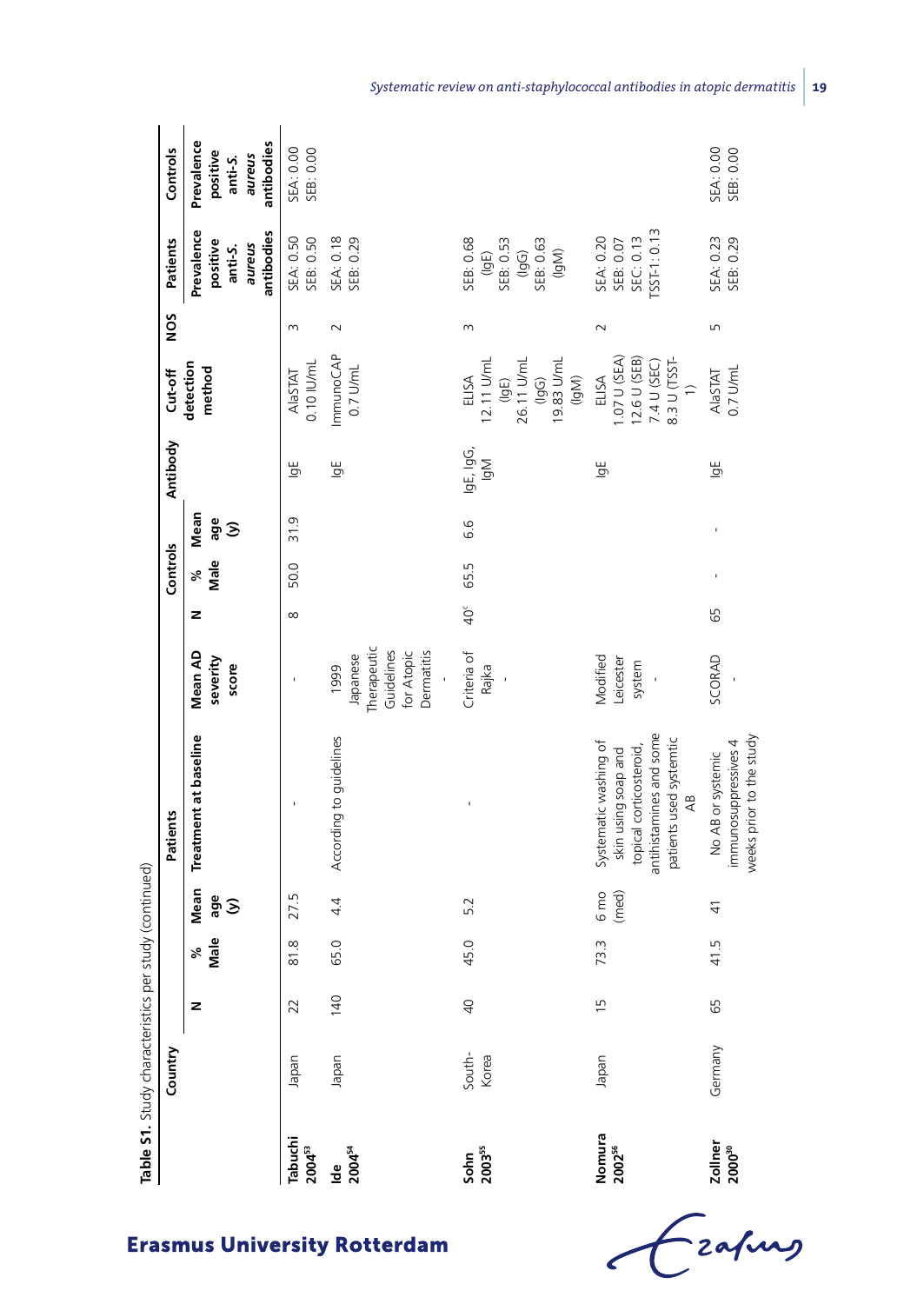|                               | Table S1. Study characteristics per study (continued) |                 |             |                             |                                                                                                                                                  |                                                                                |              |            |                  |                  |                                                                                       |          |                                                                |                                                           |
|-------------------------------|-------------------------------------------------------|-----------------|-------------|-----------------------------|--------------------------------------------------------------------------------------------------------------------------------------------------|--------------------------------------------------------------------------------|--------------|------------|------------------|------------------|---------------------------------------------------------------------------------------|----------|----------------------------------------------------------------|-----------------------------------------------------------|
|                               | Country                                               |                 |             |                             | Patients                                                                                                                                         |                                                                                |              | Controls   |                  | Antibody         | Cut-off                                                                               | NOS      | Patients                                                       | Controls                                                  |
|                               |                                                       | z               | Male<br>್ನೇ | Mean<br>age<br>$\mathbf{S}$ | Treatment at baseline                                                                                                                            | Mean AD<br>severity<br>score                                                   | z            | Male<br>ಸ್ | Mean<br>age<br>δ |                  | detection<br>method                                                                   |          | Prevalence<br>antibodies<br>positive<br>aureus<br>anti-S.      | Prevalence<br>antibodies<br>positive<br>aureus<br>anti-S. |
| Tabuchi<br>2004 <sup>53</sup> | Japan                                                 | 22              | 81.8        | 27.5                        |                                                                                                                                                  |                                                                                | $\infty$     | 50.0       | 31.9             | $\overline{5}$   | 0.10 IU/mL<br>NaSTAT                                                                  | $\infty$ | SEA: 0.50<br>SEB: 0.50                                         | SEA: 0.00<br>SEB: 0.00                                    |
| $10e$<br>$2004^{54}$          | Japan                                                 | 140             | 65.0        | 4.4                         | According to guidelines                                                                                                                          | Therapeutic<br>Guidelines<br>Dermatitis<br>for Atopic<br>Japanese<br>1999<br>í |              |            |                  | y,               | ImmunoCAP<br>$0.7$ U/mL                                                               | $\sim$   | SEA: 0.18<br>SEB: 0.29                                         |                                                           |
| Sohn<br>$2003^{55}$           | South-<br>Korea                                       | $\overline{40}$ | 45.0        | 5.2                         |                                                                                                                                                  | Criteria of<br>Rajka<br>J.                                                     | $40^{\circ}$ | 65.5       | 6.6              | IgE, IgG,<br>ΙğΜ | 19.83 U/mL<br>26.11 U/mL<br>12.11 U/mL<br>(lgE)<br>(lgG)<br>ELISA<br>(lgM)            | 3        | SEB: 0.68<br>SEB: 0.53<br>(lgG)<br>SEB: 0.63<br>(lgM)<br>(lgE) |                                                           |
| Nomura<br>2002 <sup>56</sup>  | Japan                                                 | $\frac{5}{1}$   | 73.3        | 6 mo<br>(med)               | antihistamines and some<br>patients used systemtic<br>Systematic washing of<br>topical corticosteroid,<br>skin using soap and<br>$\overline{AB}$ | Modified<br>Leicester<br>system                                                |              |            |                  | ۱ğ               | 1.07 U (SEA)<br>12.6 U (SEB)<br>8.3 U (TSST-<br>7.4 U (SEC)<br>ELISA<br>$\Rightarrow$ | $\sim$   | SST-1:0.13<br>SEC: 0.13<br>SEA: 0.20<br>SEB: 0.07              |                                                           |
| Zollner<br>2000 <sup>30</sup> | Germany                                               | 65              | 41.5        | $\frac{1}{4}$               | weeks prior to the study<br>immunosuppressives 4<br>No AB or systemic                                                                            | SCORAD                                                                         | 65           |            |                  | ۱ğ               | 0.7 U/mL<br><b>AlaSTAT</b>                                                            | Б        | SEA: 0.23<br>SEB: 0.29                                         | SEA: 0.00<br>SEB: 0.00                                    |

Czafing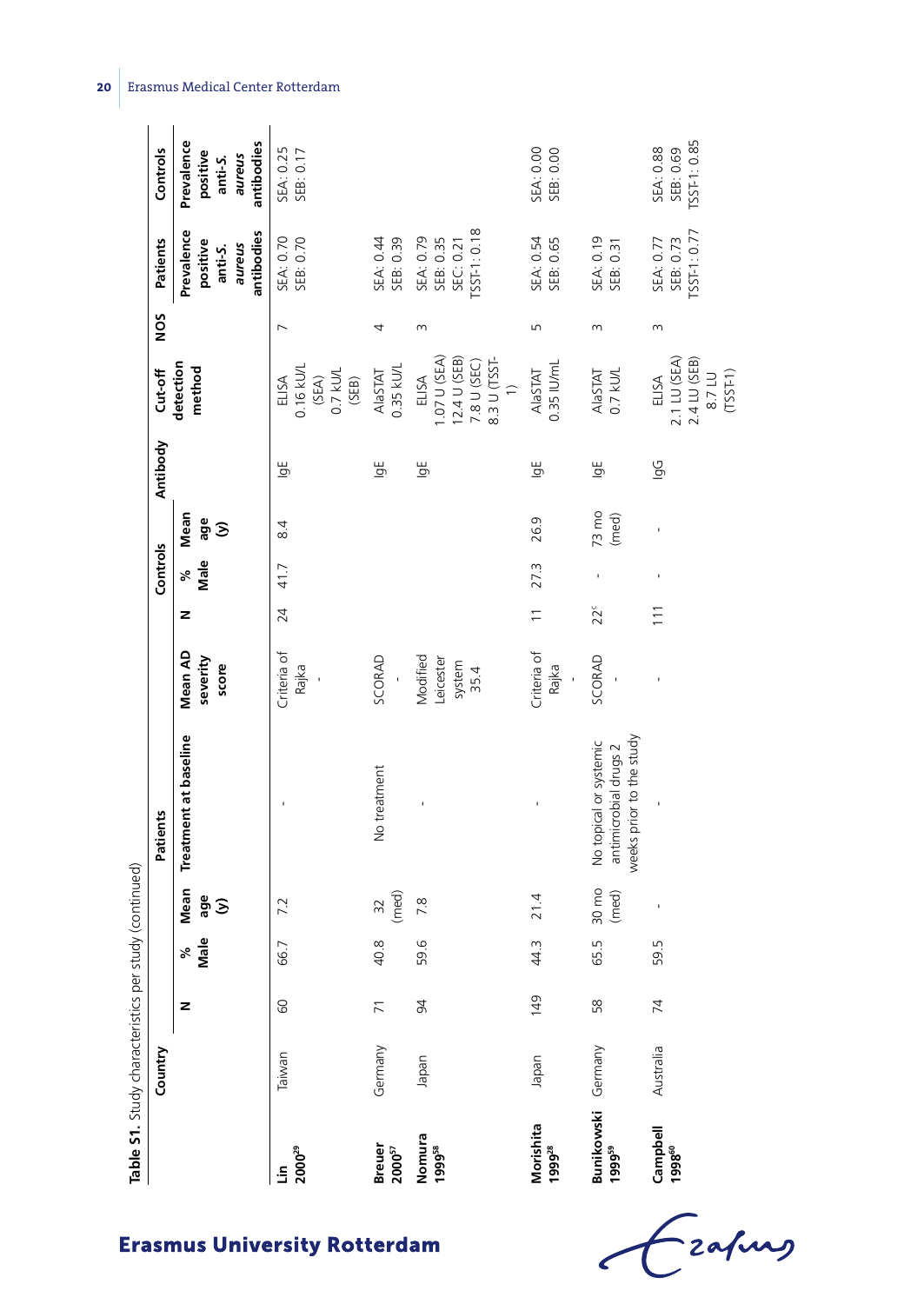|                                        | Table S1. Study characteristics per |                |           | study (continued) |                                                                             |                                         |                          |            |                          |                |                                                                      |                |                                                           |                                                           |
|----------------------------------------|-------------------------------------|----------------|-----------|-------------------|-----------------------------------------------------------------------------|-----------------------------------------|--------------------------|------------|--------------------------|----------------|----------------------------------------------------------------------|----------------|-----------------------------------------------------------|-----------------------------------------------------------|
|                                        | Country                             |                |           |                   | Patients                                                                    |                                         |                          | Controls   |                          | Antibody       | Cut-off                                                              | NOS            | Patients                                                  | Controls                                                  |
|                                        |                                     | z              | Male<br>ళ | Mean<br>age<br>δ  | Treatment at baseline                                                       | Mean AD<br>severity<br>score            | z                        | Male<br>ಸ್ | Mean<br>age<br>$\hat{z}$ |                | detection<br>method                                                  |                | Prevalence<br>antibodies<br>positive<br>aureus<br>anti-S. | Prevalence<br>antibodies<br>positive<br>aureus<br>anti-S. |
| $2000^{29}$<br>۹Ĺ                      | Taiwan                              | 60             | 66.7      | 7.2               | ı                                                                           | Criteria of<br>Rajka                    | 24                       | 41.7       | 8.4                      | $\overline{5}$ | 0.16 kU/L<br>$(SEM)$<br>0.7 ku/L<br>ELISA<br>(SEB)                   | $\overline{ }$ | SEB: 0.70<br>SEA: 0.70                                    | SEA: 0.25<br>SEB: 0.17                                    |
| <b>Breuer</b><br>${\bf 2000}^{\rm 57}$ | Germany                             | $\overline{7}$ | 40.8      | (med)<br>32       | No treatment                                                                | SCORAD                                  |                          |            |                          | Ъ              | 0.35 kU/L<br><b>AlaSTAT</b>                                          |                | SEB: 0.39<br>SEA: 0.44                                    |                                                           |
| Nomura<br>1999 <sup>58</sup>           | Japan                               | $\overline{6}$ | 59.6      | 7.8               |                                                                             | Modified<br>Leicester<br>system<br>35.4 |                          |            |                          | $\overline{5}$ | 1.07 U (SEA)<br>12.4 U (SEB)<br>8.3 U (TSST-<br>7.8 U (SEC)<br>ELISA | 3              | $TSST-1:0.18$<br>SEA: 0.79<br>SEB: 0.35<br>SEC: 0.21      |                                                           |
| Morishita<br>1999 <sup>28</sup>        | Japan                               | 149            | 44.3      | 21.4              |                                                                             | Criteria of<br>Rajka                    | $\overline{\phantom{0}}$ | 27.3       | 26.9                     | Ъ              | 0.35 IU/mL<br><b>AlaSTAT</b>                                         | LN             | SEA: 0.54<br>SEB: 0.65                                    | SEA: 0.00<br>SEB: 0.00                                    |
| Bunikowski (<br>1999 <sup>59</sup>     | Germany                             | 58             | 65.5      | 30 mo<br>(med)    | weeks prior to the study<br>No topical or systemic<br>antimicrobial drugs 2 | SCORAD                                  | $22^c$                   |            | $73 \text{ mo}$<br>(med) | $\overline{5}$ | AlaSTAT<br>0.7 kU/L                                                  | 3              | SEA: 0.19<br>SEB: 0.31                                    |                                                           |
| Campbell<br>1998 <sup>60</sup>         | Australia                           | 74             | 59.5      |                   |                                                                             |                                         | $\overline{11}$          | ı          | ı                        | <u>ig</u>      | 2.1 LU (SEA)<br>2.4 LU (SEB)<br>8.7 LU<br>(TSSF1)<br>ELISA           | m              | $SST-1: 0.77$<br>SEB: 0.73<br>SEA: 0.77                   | TSST-1:0.85<br>SEA: 0.88<br>SEB: 0.69                     |

**20** Erasmus Medical Center Rotterdam

Czapus  $\epsilon$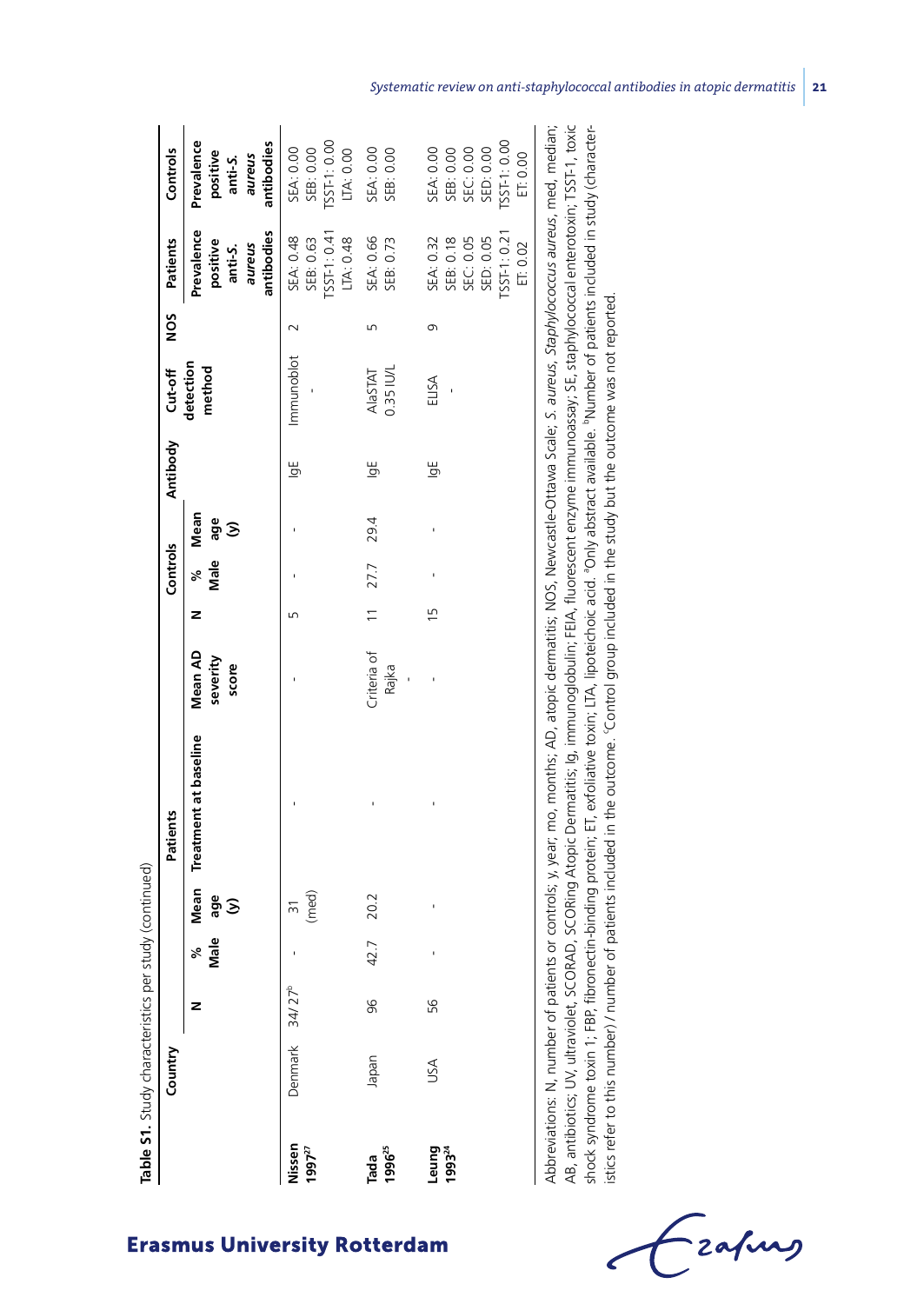|                            | Country |           |           |                  | Patients              |                                     |                | Controls  |                  | Antibody | Cut-off               | <b>NOS</b> | Patients                                                                    | Controls                                                                           |
|----------------------------|---------|-----------|-----------|------------------|-----------------------|-------------------------------------|----------------|-----------|------------------|----------|-----------------------|------------|-----------------------------------------------------------------------------|------------------------------------------------------------------------------------|
|                            |         | z         | Male<br>್ | Mean<br>age<br>δ | Treatment at baseline | <b>Mean AD</b><br>severity<br>score | z              | Male<br>್ | Mean<br>age<br>З |          | detection<br>method   |            | Prevalence<br>antibodies<br>positive<br>snaune<br>anti-S.                   | Prevalence<br>antibodies<br>positive<br>aureus<br>anti-S.                          |
| Nissen<br>$1997^{27}$      | Denmark | $34/27^b$ |           | (med)<br>_<br>ო  |                       |                                     | Б              |           |                  | ۱gh      | Immunoblot            |            | $TSST-1: 0.41$<br>SEA: 0.48<br>SEB: 0.63<br>LTA: 0.48                       | $TSST-1:0.00$<br>SEA: 0.00<br>LTA: 0.00<br>SEB: 0.00                               |
| 1996 <sup>25</sup><br>Tada | Japan   | 96        | 42.7      | 20.2             |                       | Criteria of<br>Rajka<br>ï           | $\overline{1}$ | 27.7      | 29.4             | ⊌g       | $0.35$ IU/L<br>NaSTAT | ഥ          | SEA: 0.66<br>SEB: 0.73                                                      | SEA: 0.00<br>SEB: 0.00                                                             |
| 199324<br>Leung            | USA     | 56        |           |                  |                       |                                     | Ľ              |           |                  | ۱ğ       | ELISA                 | G          | TSST-1:0.21<br>SED: 0.05<br>SEC: 0.05<br>SEA: 0.32<br>SEB: 0.18<br>ET: 0.02 | [SST-1:0.00<br>SED: 0.00<br><b>SEA: 0.00</b><br>SEC: 0.00<br>SEB: 0.00<br>ET: 0.00 |

AB, antibiotics; UV, ultraviolet, SCORAD, SCORing Atopic Dermatitis; Ig, immunoglobulin; FEIA, fluorescent enzyme immunoassay; SE, staphylococcal enterotoxin; TSST-1, toxic shock syndrome toxin 1; FBP, fibronectin-binding protein; ET, exfoliative toxin; LTA, lipoteichoic acid. Only abstract available. "Number of patients included in study (charactersay; יו לכן וואסוס Cocolero enter oral enterprovic shock syndrome toxin 1; FBP, fibronectin-binding protein; ET, exfoliative toxin; LTA, lipoteichoic acid. aOnly abstract available. bNumber of patients included in study (characteristics refer to this number) / number of patients included in the outcome. 'Control group included in the study but the outcome was not reported. istics refer to this number) / number of patients included in the outcome. 'Control group included in the study but the outcome was not reported. AB, antibiotics, D.V. Direct, S.C. Direct, S.C. Direct, S.C. Direct, S.C. Direct, S.C. Direct, S.C. Direct, S.C. Direct, 2010, 2010, 2010, 2010, 2010, 2010, 2010, 2010, 2010, 2010, 2010, 2010, 2010, 2010, 2010, 2010, 2010,

-<br>2afung

# **Erasmus University Rotterdam**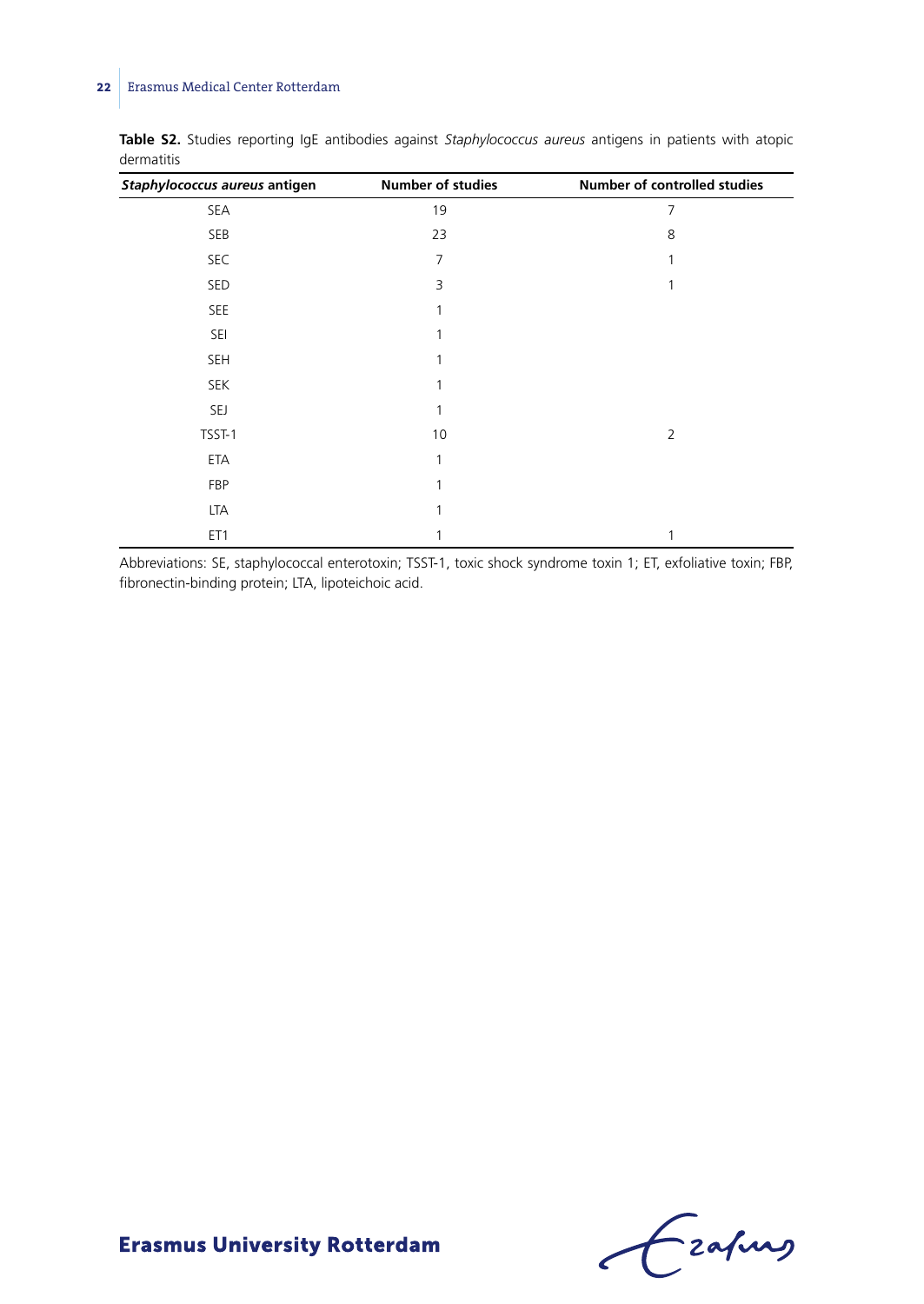| Staphylococcus aureus antigen | <b>Number of studies</b> | Number of controlled studies |
|-------------------------------|--------------------------|------------------------------|
| SEA                           | 19                       | 7                            |
| SEB                           | 23                       | 8                            |
| SEC                           | 7                        | 1                            |
| SED                           | 3                        |                              |
| SEE                           |                          |                              |
| SEI                           |                          |                              |
| <b>SEH</b>                    |                          |                              |
| <b>SEK</b>                    |                          |                              |
| SEJ                           |                          |                              |
| TSST-1                        | 10                       | $\overline{2}$               |
| ETA                           |                          |                              |
| FBP                           |                          |                              |
| LTA                           |                          |                              |
| ET1                           |                          |                              |

**Table S2.** Studies reporting IgE antibodies against *Staphylococcus aureus* antigens in patients with atopic dermatitis

Abbreviations: SE, staphylococcal enterotoxin; TSST-1, toxic shock syndrome toxin 1; ET, exfoliative toxin; FBP, fibronectin-binding protein; LTA, lipoteichoic acid.

Czapus  $\epsilon$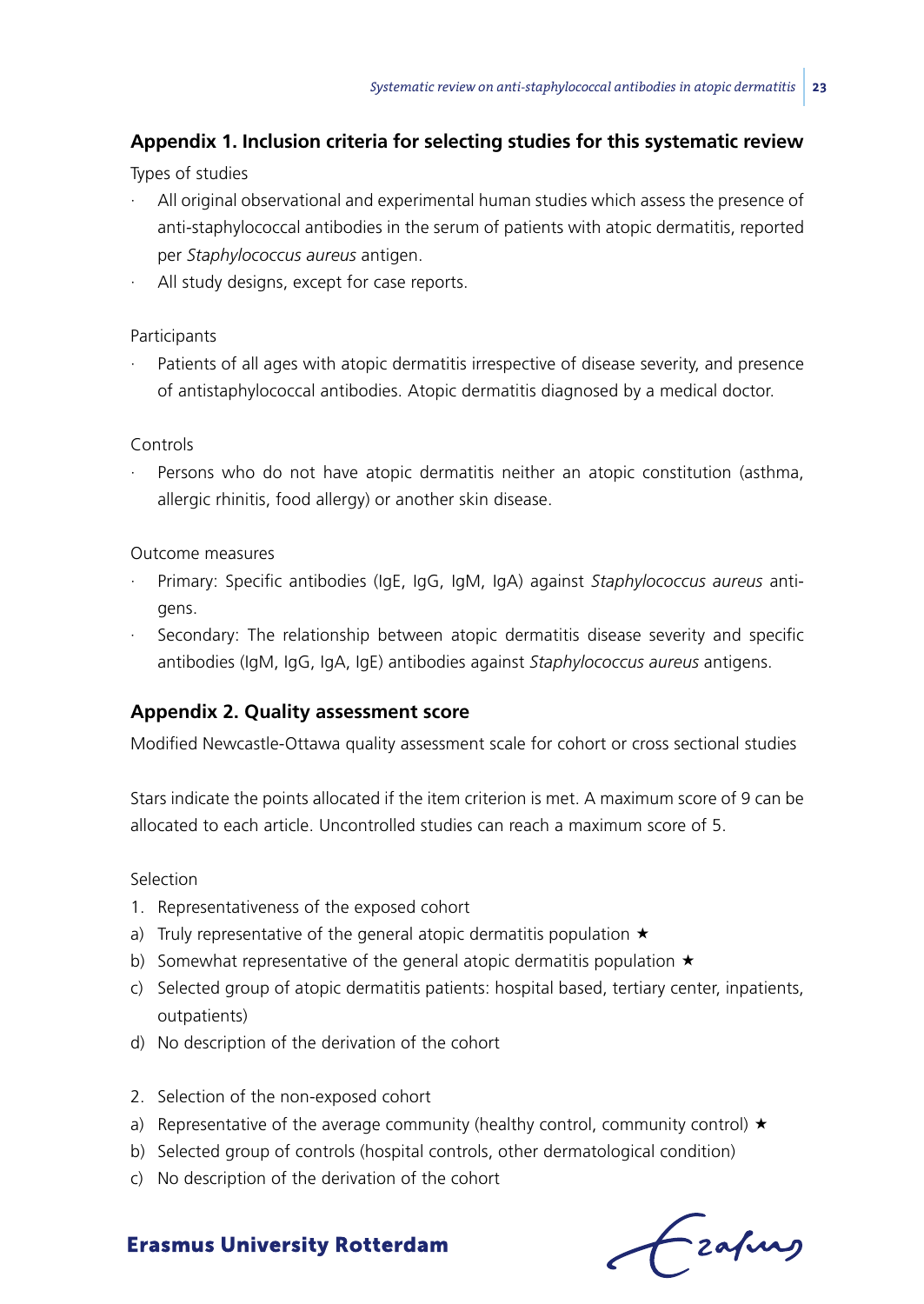# **Appendix 1. Inclusion criteria for selecting studies for this systematic review**

Types of studies

- · All original observational and experimental human studies which assess the presence of anti-staphylococcal antibodies in the serum of patients with atopic dermatitis, reported per *Staphylococcus aureus* antigen.
- All study designs, except for case reports.

#### Participants

Patients of all ages with atopic dermatitis irrespective of disease severity, and presence of antistaphylococcal antibodies. Atopic dermatitis diagnosed by a medical doctor.

#### Controls

Persons who do not have atopic dermatitis neither an atopic constitution (asthma, allergic rhinitis, food allergy) or another skin disease.

#### Outcome measures

- · Primary: Specific antibodies (IgE, IgG, IgM, IgA) against *Staphylococcus aureus* antigens.
- Secondary: The relationship between atopic dermatitis disease severity and specific antibodies (IgM, IgG, IgA, IgE) antibodies against *Staphylococcus aureus* antigens.

# **Appendix 2. Quality assessment score**

Modified Newcastle-Ottawa quality assessment scale for cohort or cross sectional studies

Stars indicate the points allocated if the item criterion is met. A maximum score of 9 can be allocated to each article. Uncontrolled studies can reach a maximum score of 5.

#### Selection

- 1. Representativeness of the exposed cohort
- a) Truly representative of the general atopic dermatitis population  $\star$
- b) Somewhat representative of the general atopic dermatitis population  $\star$
- c) Selected group of atopic dermatitis patients: hospital based, tertiary center, inpatients, outpatients)
- d) No description of the derivation of the cohort
- 2. Selection of the non-exposed cohort
- a) Representative of the average community (healthy control, community control)  $\star$
- b) Selected group of controls (hospital controls, other dermatological condition)
- c) No description of the derivation of the cohort

frafing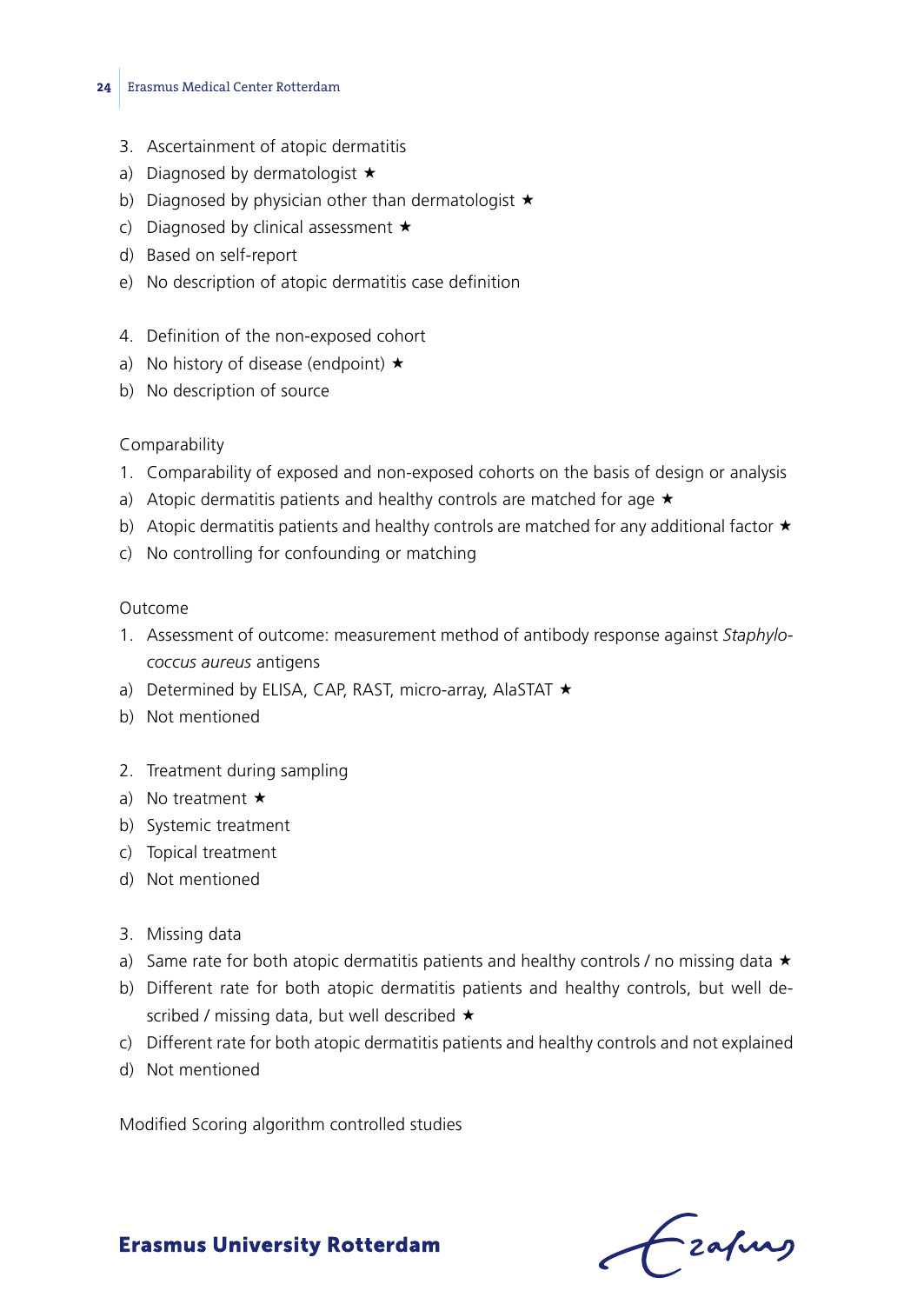- 3. Ascertainment of atopic dermatitis
- a) Diagnosed by dermatologist  $\star$
- b) Diagnosed by physician other than dermatologist  $\star$
- c) Diagnosed by clinical assessment  $\star$
- d) Based on self-report
- e) No description of atopic dermatitis case definition
- 4. Definition of the non-exposed cohort
- a) No history of disease (endpoint)  $\star$
- b) No description of source

#### Comparability

- 1. Comparability of exposed and non-exposed cohorts on the basis of design or analysis
- a) Atopic dermatitis patients and healthy controls are matched for age  $\star$
- b) Atopic dermatitis patients and healthy controls are matched for any additional factor  $\star$
- c) No controlling for confounding or matching

#### Outcome

- 1. Assessment of outcome: measurement method of antibody response against *Staphylococcus aureus* antigens
- a) Determined by ELISA, CAP, RAST, micro-array, AlaSTAT  $\star$
- b) Not mentioned
- 2. Treatment during sampling
- a) No treatment  $\star$
- b) Systemic treatment
- c) Topical treatment
- d) Not mentioned
- 3. Missing data
- a) Same rate for both atopic dermatitis patients and healthy controls / no missing data  $\star$
- b) Different rate for both atopic dermatitis patients and healthy controls, but well described / missing data, but well described  $\star$
- c) Different rate for both atopic dermatitis patients and healthy controls and not explained
- d) Not mentioned

Modified Scoring algorithm controlled studies

Lzafurs